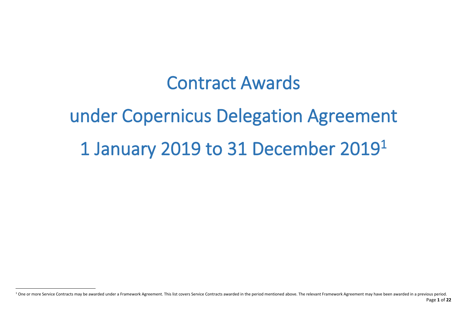# Contract Awards

# under Copernicus Delegation Agreement 1 January 2019 to 31 December 2019 1

Page **1** of **22** <sup>1</sup> One or more Service Contracts may be awarded under a Framework Agreement. This list covers Service Contracts awarded in the period mentioned above. The relevant Framework Agreement may have been awarded in a previous p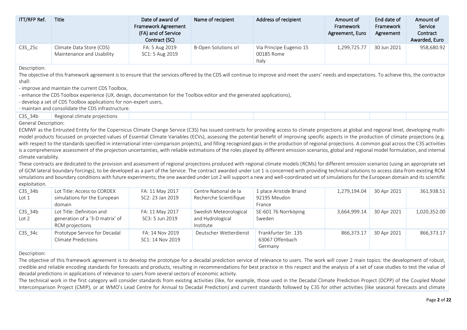| ITT/RFP Ref. | <b>Title</b>                                          | Date of award of<br><b>Framework Agreement</b><br>(FA) and of Service<br>Contract (SC) | Name of recipient           | Address of recipient                           | Amount of<br>Framework<br>Agreement, Euro | End date of<br>Framework<br>Agreement | Amount of<br>Service<br>Contract<br>Awarded, Euro |
|--------------|-------------------------------------------------------|----------------------------------------------------------------------------------------|-----------------------------|------------------------------------------------|-------------------------------------------|---------------------------------------|---------------------------------------------------|
| C3S 25c      | Climate Data Store (CDS)<br>Maintenance and Usability | FA: 5 Aug 2019<br>SC1: 5 Aug 2019                                                      | <b>B-Open Solutions srl</b> | Via Principe Eugenio 15<br>00185 Rome<br>Italy | 1,299,725.77                              | 30 Jun 2021                           | 958,680.92                                        |
| Deccription: |                                                       |                                                                                        |                             |                                                |                                           |                                       |                                                   |

The objective of this framework agreement is to ensure that the services offered by the CDS will continue to improve and meet the users' needs and expectations. To achieve this, the contractor shall:

- improve and maintain the current CDS Toolbox,

- enhance the CDS Toolbox experience (UX, design, documentation for the Toolbox editor and the generated applications),

- develop a set of CDS Toolbox applications for non-expert users,

- maintain and consolidate the CDS infrastructure.

| $C3S_34b$            | Regional climate projections |  |  |  |
|----------------------|------------------------------|--|--|--|
| $\sim$ $\sim$ $\sim$ |                              |  |  |  |

General Description:

ECMWF as the Entrusted Entity for the Copernicus Climate Change Service (C3S) has issued contracts for providing access to climate projections at global and regional level, developing multimodel products focussed on projected values of Essential Climate Variables (ECVs), assessing the potential benefit of improving specific aspects in the production of climate projections (e.g. with respect to the standards specified in international inter-comparison projects), and filling recognized gaps in the production of regional projections. A common goal across the C3S activities is a comprehensive assessment of the projection uncertainties, with reliable estimations of the roles played by different emission scenarios, global and regional model formulation, and internal climate variability.

These contracts are dedicated to the provision and assessment of regional projections produced with regional climate models (RCMs) for different emission scenarios (using an appropriate set of GCM lateral boundary forcings), to be developed as a part of the Service. The contract awarded under Lot 1 is concerned with providing technical solutions to access data from existing RCM simulations and boundary conditions with future experiments; the one awarded under Lot 2 will support a new and well-coordinated set of simulations for the European domain and its scientific exploitation.

| C3S 34b<br>Lot 1 | Lot Title: Access to CORDEX<br>simulations for the European<br>domain           | FA: 11 May 2017<br>SC2: 23 Jan 2019 | Centre National de la<br>Recherche Scientifique         | 1 place Aristide Briand<br>92195 Meudon<br>France  | 1,279,194.04 | 30 Apr 2021 | 361,938.51   |
|------------------|---------------------------------------------------------------------------------|-------------------------------------|---------------------------------------------------------|----------------------------------------------------|--------------|-------------|--------------|
| C3S 34b<br>Lot 2 | Lot Title: Definition and<br>generation of a '3-D matrix' of<br>RCM projections | FA: 11 May 2017<br>SC3: 5 Jun 2019  | Swedish Meteorological<br>and Hydrological<br>Institute | SE-601 76 Norrköping<br>Sweden                     | 3,664,999.14 | 30 Apr 2021 | 1,020,352.00 |
| C3S 34c          | Prototype Service for Decadal<br><b>Climate Predictions</b>                     | FA: 14 Nov 2019<br>SC1: 14 Nov 2019 | Deutscher Wetterdienst                                  | Frankfurter Str. 135<br>63067 Offenbach<br>Germany | 866,373.17   | 30 Apr 2021 | 866,373.17   |

# Description:

The objective of this framework agreement is to develop the prototype for a decadal prediction service of relevance to users. The work will cover 2 main topics: the development of robust, credible and reliable encoding standards for forecasts and products, resulting in recommendations for best practice in this respect and the analysis of a set of case studies to test the value of decadal predictions in applications of relevance to users from several sectors of economic activity.

The technical work in the first category will consider standards from existing activities (like, for example, those used in the Decadal Climate Prediction Project (DCPP) of the Coupled Model Intercomparison Project (CMIP), or at WMO's Lead Centre for Annual to Decadal Prediction) and current standards followed by C3S for other activities (like seasonal forecasts and climate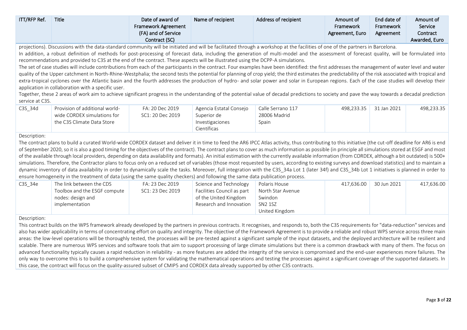| <b>ITT/RFP Ref.</b> | Title | Date of award of<br><b>Framework Agreement</b><br>(FA) and of Service<br>Contract (SC) | Name of recipient | Address of recipient | Amount of<br>Framework<br>Agreement, Euro | End date of<br>Framework<br>Agreement | Amount of<br>Service<br>Contract<br>Awarded, Euro |
|---------------------|-------|----------------------------------------------------------------------------------------|-------------------|----------------------|-------------------------------------------|---------------------------------------|---------------------------------------------------|
|                     |       |                                                                                        |                   |                      |                                           |                                       |                                                   |

projections). Discussions with the data-standard community will be initiated and will be facilitated through a workshop at the facilities of one of the partners in Barcelona.

In addition, a robust definition of methods for post-processing of forecast data, including the generation of multi-model and the assessment of forecast quality, will be formulated into recommendations and provided to C3S at the end of the contract. These aspects will be illustrated using the DCPP-A simulations.

The set of case studies will include contributions from each of the participants in the contract. Four examples have been identified: the first addresses the management of water level and water quality of the Upper catchment in North-Rhine-Westphalia; the second tests the potential for planning of crop yield; the third estimates the predictability of the risk associated with tropical and extra-tropical cyclones over the Atlantic basin and the fourth addresses the production of hydro- and solar power and solar in European regions. Each of the case studies will develop their application in collaboration with a specific user.

Together, these 2 areas of work aim to achieve significant progress in the understanding of the potential value of decadal predictions to society and pave the way towards a decadal prediction service at C3S.

| C3S 34d | - Provision of additional world | FA: 20 Dec 2019  | Agencia Estatal Consejo | Calle Serrano 117 | 498.233.35 | 31 Jan 2021 | 498.233.35 |
|---------|---------------------------------|------------------|-------------------------|-------------------|------------|-------------|------------|
|         | wide CORDEX simulations for     | SC1: 20 Dec 2019 | Superior de             | 28006 Madrid      |            |             |            |
|         | the C3S Climate Data Store      |                  | Investigaciones         | Spain             |            |             |            |
|         |                                 |                  | Científicas             |                   |            |             |            |

### Description:

The contract plans to build a curated World-wide CORDEX dataset and deliver it in time to feed the AR6 IPCC Atlas activity, thus contributing to this initiative (the cut-off deadline for AR6 is end of September 2020, so it is also a good timing for the objectives of the contract). The contract plans to cover as much information as possible (in principle all simulations stored at ESGF and most of the available through local providers, depending on data availability and formats). An initial estimation with the currently available information (from CORDEX, although a bit outdated) is 500+ simulations. Therefore, the Contractor plans to focus only on a reduced set of variables (those most requested by users, according to existing surveys and download statistics) and to maintain a dynamic inventory of data availability in order to dynamically scale the tasks. Moreover, full integration with the C3S 34a Lot 1 (later 34f) and C3S 34b Lot 1 initiatives is planned in order to ensure homogeneity in the treatment of data (using the same quality checkers) and following the same data publication process.

| C3S 34e | The link between the CDS     | FA: 23 Dec 2019  | Science and Technology                         | Polaris House  | 417,636.00 | 30 Jun 2021 | 417,636.00 |
|---------|------------------------------|------------------|------------------------------------------------|----------------|------------|-------------|------------|
|         | Toolbox and the ESGF compute | SC1: 23 Dec 2019 | Facilities Council as part   North Star Avenue |                |            |             |            |
|         | nodes: design and            |                  | of the United Kingdom                          | Swindon        |            |             |            |
|         | implementation               |                  | Research and Innovation                        | SN2 1SZ        |            |             |            |
|         |                              |                  |                                                | United Kingdom |            |             |            |

# Description:

This contract builds on the WPS framework already developed by the partners in previous contracts. It recognises, and responds to, both the C3S requirements for "data-reduction" services and also has wider applicability in terms of concentrating effort on quality and integrity. The objective of the Framework Agreement is to provide a reliable and robust WPS service across three main areas: the low-level operations will be thoroughly tested, the processes will be pre-tested against a significant sample of the input datasets, and the deployed architecture will be resilient and scalable. There are numerous WPS services and software tools that aim to support processing of large climate simulations but there is a common drawback with many of them. The focus on advanced functionality typically causes a rapid reduction in reliability - as more features are added the integrity of the service is compromised and the end-user experiences more failures. The only way to overcome this is to build a comprehensive system for validating the mathematical operations and testing the processes against a significant coverage of the supported datasets. In this case, the contract will focus on the quality-assured subset of CMIP5 and CORDEX data already supported by other C3S contracts.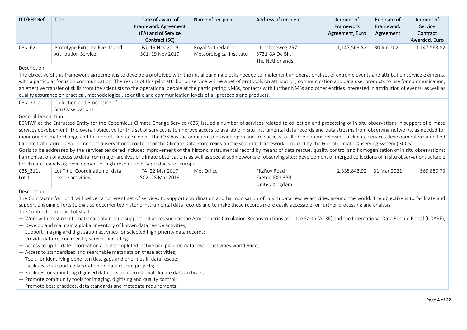| ITT/RFP Ref.        | <b>Title</b>                                                                                                                                                                                                                                                                                                                                                                                                                                                                                                                                                                                                                                                                                                                                                                                                                                                                                                                                                                                                                                                                                                                                                                                                                                                                                                                                                                                                                          | Date of award of<br><b>Framework Agreement</b><br>(FA) and of Service<br>Contract (SC) | Name of recipient                             | Address of recipient                                   | Amount of<br>Framework<br>Agreement, Euro | End date of<br>Framework<br>Agreement | Amount of<br>Service<br>Contract<br>Awarded, Euro |  |  |  |
|---------------------|---------------------------------------------------------------------------------------------------------------------------------------------------------------------------------------------------------------------------------------------------------------------------------------------------------------------------------------------------------------------------------------------------------------------------------------------------------------------------------------------------------------------------------------------------------------------------------------------------------------------------------------------------------------------------------------------------------------------------------------------------------------------------------------------------------------------------------------------------------------------------------------------------------------------------------------------------------------------------------------------------------------------------------------------------------------------------------------------------------------------------------------------------------------------------------------------------------------------------------------------------------------------------------------------------------------------------------------------------------------------------------------------------------------------------------------|----------------------------------------------------------------------------------------|-----------------------------------------------|--------------------------------------------------------|-------------------------------------------|---------------------------------------|---------------------------------------------------|--|--|--|
| $C3S_62$            | Prototype Extreme Events and<br><b>Attribution Service</b>                                                                                                                                                                                                                                                                                                                                                                                                                                                                                                                                                                                                                                                                                                                                                                                                                                                                                                                                                                                                                                                                                                                                                                                                                                                                                                                                                                            | FA: 19 Nov 2019<br>SC1: 19 Nov 2019                                                    | Royal Netherlands<br>Meteorological Institute | Utrechtseweg 297<br>3731 GA De Bilt<br>The Netherlands | 1,147,563.82                              | 30 Jun 2021                           | 1,147,563.82                                      |  |  |  |
| Description:        | The objective of this framework agreement is to develop a prototype with the initial building blocks needed to implement an operational set of extreme events and attribution service elements,<br>with a particular focus on communication. The results of this pilot attribution service will be a set of protocols on attribution, communication and data use, products to use for communication,<br>an effective transfer of skills from the scientists to the operational people at the participating NMSs, contacts with further NMSs and other entities interested in attribution of events, as well as<br>quality assurance on practical, methodological, scientific and communication levels of all protocols and products.                                                                                                                                                                                                                                                                                                                                                                                                                                                                                                                                                                                                                                                                                                  |                                                                                        |                                               |                                                        |                                           |                                       |                                                   |  |  |  |
| C3S_311a            | Collection and Processing of In<br>Situ Observations                                                                                                                                                                                                                                                                                                                                                                                                                                                                                                                                                                                                                                                                                                                                                                                                                                                                                                                                                                                                                                                                                                                                                                                                                                                                                                                                                                                  |                                                                                        |                                               |                                                        |                                           |                                       |                                                   |  |  |  |
|                     | <b>General Description:</b><br>ECMWF as the Entrusted Entity for the Copernicus Climate Change Service (C3S) issued a number of services related to collection and processing of in situ observations in support of climate<br>services development. The overall objective for this set of services is to improve access to available in situ instrumental data records and data streams from observing networks, as needed for<br>monitoring climate change and to support climate science. The C3S has the ambition to provide open and free access to all observations relevant to climate services development via a unified<br>Climate Data Store. Development of observational content for the Climate Data Store relies on the scientific framework provided by the Global Climate Observing System (GCOS).<br>Goals to be addressed by the services tendered include: improvement of the historic instrumental record by means of data rescue, quality control and homogenisation of in situ observations;<br>harmonisation of access to data from major archives of climate observations as well as specialised networks of observing sites; development of merged collections of in situ observations suitable<br>for climate reanalysis; development of high-resolution ECV products for Europe.                                                                                                                           |                                                                                        |                                               |                                                        |                                           |                                       |                                                   |  |  |  |
| C3S_311a<br>Lot $1$ | Lot Title: Coordination of data<br>rescue activities                                                                                                                                                                                                                                                                                                                                                                                                                                                                                                                                                                                                                                                                                                                                                                                                                                                                                                                                                                                                                                                                                                                                                                                                                                                                                                                                                                                  | FA: 22 Mar 2017<br>SC2: 28 Mar 2019                                                    | Met Office                                    | FitzRoy Road<br>Exeter, EX1 3PB<br>United Kingdom      | 2,335,843.92                              | 31 Mar 2021                           | 569,880.73                                        |  |  |  |
| Description:        | The Contractor for Lot 1 will deliver a coherent set of services to support coordination and harmonisation of in situ data rescue activities around the world. The objective is to facilitate and<br>support ongoing efforts to digitise documented historic instrumental data records and to make these records more easily accessible for further processing and analysis.<br>The Contractor for this Lot shall:<br>- Work with existing international data rescue support initiatives such as the Atmospheric Circulation Reconstructions over the Earth (ACRE) and the International Data Rescue Portal (I-DARE);<br>- Develop and maintain a global inventory of known data rescue activities;<br>- Support imaging and digitization activities for selected high-priority data records;<br>- Provide data-rescue registry services including:<br>- Access to up-to-date information about completed, active and planned data rescue activities world-wide;<br>- Access to standardised and searchable metadata on these activities;<br>- Tools for identifying opportunities, gaps and priorities in data rescue;<br>- Facilities to support collaboration on data rescue projects;<br>- Facilities for submitting digitised data sets to international climate data archives;<br>- Promote community tools for imaging, digitizing and quality control;<br>- Promote best practices, data standards and metadata requirements. |                                                                                        |                                               |                                                        |                                           |                                       |                                                   |  |  |  |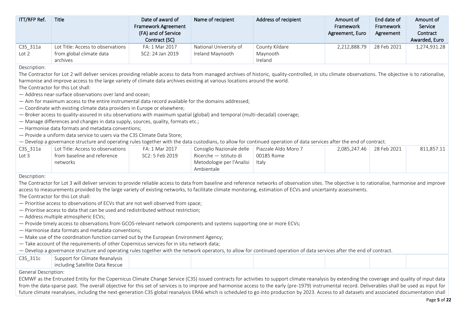| ITT/RFP Ref.                                                                                                                                                                                                                                                                                                                                                                                                                                                                                                                                                                                                                                                                                                                                                                                                                                                                                                                                                                                                                                                                                                                                               | Title                                                                                                                                                                                               | Date of award of<br><b>Framework Agreement</b><br>(FA) and of Service<br>Contract (SC) | Name of recipient                                                 | Address of recipient | Amount of<br>Framework<br>Agreement, Euro | End date of<br>Framework<br>Agreement | Amount of<br>Service<br>Contract<br>Awarded, Euro |  |
|------------------------------------------------------------------------------------------------------------------------------------------------------------------------------------------------------------------------------------------------------------------------------------------------------------------------------------------------------------------------------------------------------------------------------------------------------------------------------------------------------------------------------------------------------------------------------------------------------------------------------------------------------------------------------------------------------------------------------------------------------------------------------------------------------------------------------------------------------------------------------------------------------------------------------------------------------------------------------------------------------------------------------------------------------------------------------------------------------------------------------------------------------------|-----------------------------------------------------------------------------------------------------------------------------------------------------------------------------------------------------|----------------------------------------------------------------------------------------|-------------------------------------------------------------------|----------------------|-------------------------------------------|---------------------------------------|---------------------------------------------------|--|
| C3S_311a                                                                                                                                                                                                                                                                                                                                                                                                                                                                                                                                                                                                                                                                                                                                                                                                                                                                                                                                                                                                                                                                                                                                                   | Lot Title: Access to observations                                                                                                                                                                   | FA: 1 Mar 2017                                                                         | National University of                                            | County Kildare       | 2,212,888.79                              | 28 Feb 2021                           | 1,274,931.28                                      |  |
| Lot 2                                                                                                                                                                                                                                                                                                                                                                                                                                                                                                                                                                                                                                                                                                                                                                                                                                                                                                                                                                                                                                                                                                                                                      | from global climate data<br>archives                                                                                                                                                                | SC2: 24 Jan 2019                                                                       | Ireland Maynooth                                                  | Maynooth<br>Ireland  |                                           |                                       |                                                   |  |
| Description:                                                                                                                                                                                                                                                                                                                                                                                                                                                                                                                                                                                                                                                                                                                                                                                                                                                                                                                                                                                                                                                                                                                                               |                                                                                                                                                                                                     |                                                                                        |                                                                   |                      |                                           |                                       |                                                   |  |
| The Contractor for Lot 2 will deliver services providing reliable access to data from managed archives of historic, quality-controlled, in situ climate observations. The objective is to rationalise,<br>harmonise and improve access to the large variety of climate data archives existing at various locations around the world.<br>The Contractor for this Lot shall:<br>- Address near-surface observations over land and ocean;<br>- Aim for maximum access to the entire instrumental data record available for the domains addressed;<br>- Coordinate with existing climate data providers in Europe or elsewhere;<br>- Broker access to quality-assured in situ observations with maximum spatial (global) and temporal (multi-decadal) coverage;<br>- Manage differences and changes in data supply, sources, quality, formats etc.;<br>- Harmonise data formats and metadata conventions;<br>- Provide a uniform data service to users via the C3S Climate Data Store;<br>- Develop a governance structure and operating rules together with the data custodians, to allow for continued operation of data services after the end of contract. |                                                                                                                                                                                                     |                                                                                        |                                                                   |                      |                                           |                                       |                                                   |  |
| C3S_311a                                                                                                                                                                                                                                                                                                                                                                                                                                                                                                                                                                                                                                                                                                                                                                                                                                                                                                                                                                                                                                                                                                                                                   | Lot Title: Access to observations                                                                                                                                                                   | FA: 1 Mar 2017                                                                         | Consiglio Nazionale delle                                         | Piazzale Aldo Moro 7 | 2,085,247.46                              | 28 Feb 2021                           | 811,857.11                                        |  |
| Lot <sub>3</sub>                                                                                                                                                                                                                                                                                                                                                                                                                                                                                                                                                                                                                                                                                                                                                                                                                                                                                                                                                                                                                                                                                                                                           | from baseline and reference<br>networks                                                                                                                                                             | SC2: 5 Feb 2019                                                                        | Ricerche - Istituto di<br>Metodologie per l'Analisi<br>Ambientale | 00185 Rome<br>Italy  |                                           |                                       |                                                   |  |
| Description:                                                                                                                                                                                                                                                                                                                                                                                                                                                                                                                                                                                                                                                                                                                                                                                                                                                                                                                                                                                                                                                                                                                                               |                                                                                                                                                                                                     |                                                                                        |                                                                   |                      |                                           |                                       |                                                   |  |
|                                                                                                                                                                                                                                                                                                                                                                                                                                                                                                                                                                                                                                                                                                                                                                                                                                                                                                                                                                                                                                                                                                                                                            | The Contractor for Lot 3 will deliver services to provide reliable access to data from baseline and reference networks of observation sites. The objective is to rationalise, harmonise and improve |                                                                                        |                                                                   |                      |                                           |                                       |                                                   |  |
|                                                                                                                                                                                                                                                                                                                                                                                                                                                                                                                                                                                                                                                                                                                                                                                                                                                                                                                                                                                                                                                                                                                                                            | access to measurements provided by the large variety of existing networks, to facilitate climate monitoring, estimation of ECVs and uncertainty assessments.                                        |                                                                                        |                                                                   |                      |                                           |                                       |                                                   |  |
|                                                                                                                                                                                                                                                                                                                                                                                                                                                                                                                                                                                                                                                                                                                                                                                                                                                                                                                                                                                                                                                                                                                                                            | The Contractor for this Lot shall:                                                                                                                                                                  |                                                                                        |                                                                   |                      |                                           |                                       |                                                   |  |
|                                                                                                                                                                                                                                                                                                                                                                                                                                                                                                                                                                                                                                                                                                                                                                                                                                                                                                                                                                                                                                                                                                                                                            | - Prioritise access to observations of ECVs that are not well observed from space;                                                                                                                  |                                                                                        |                                                                   |                      |                                           |                                       |                                                   |  |
|                                                                                                                                                                                                                                                                                                                                                                                                                                                                                                                                                                                                                                                                                                                                                                                                                                                                                                                                                                                                                                                                                                                                                            | - Prioritise access to data that can be used and redistributed without restriction;                                                                                                                 |                                                                                        |                                                                   |                      |                                           |                                       |                                                   |  |
|                                                                                                                                                                                                                                                                                                                                                                                                                                                                                                                                                                                                                                                                                                                                                                                                                                                                                                                                                                                                                                                                                                                                                            | - Address multiple atmospheric ECVs;                                                                                                                                                                |                                                                                        |                                                                   |                      |                                           |                                       |                                                   |  |
|                                                                                                                                                                                                                                                                                                                                                                                                                                                                                                                                                                                                                                                                                                                                                                                                                                                                                                                                                                                                                                                                                                                                                            | - Provide timely access to observations from GCOS-relevant network components and systems supporting one or more ECVs;                                                                              |                                                                                        |                                                                   |                      |                                           |                                       |                                                   |  |
|                                                                                                                                                                                                                                                                                                                                                                                                                                                                                                                                                                                                                                                                                                                                                                                                                                                                                                                                                                                                                                                                                                                                                            | - Harmonise data formats and metadata conventions;                                                                                                                                                  |                                                                                        |                                                                   |                      |                                           |                                       |                                                   |  |
|                                                                                                                                                                                                                                                                                                                                                                                                                                                                                                                                                                                                                                                                                                                                                                                                                                                                                                                                                                                                                                                                                                                                                            | - Make use of the coordination function carried out by the European Environment Agency;                                                                                                             |                                                                                        |                                                                   |                      |                                           |                                       |                                                   |  |
|                                                                                                                                                                                                                                                                                                                                                                                                                                                                                                                                                                                                                                                                                                                                                                                                                                                                                                                                                                                                                                                                                                                                                            | - Take account of the requirements of other Copernicus services for in situ network data;                                                                                                           |                                                                                        |                                                                   |                      |                                           |                                       |                                                   |  |
|                                                                                                                                                                                                                                                                                                                                                                                                                                                                                                                                                                                                                                                                                                                                                                                                                                                                                                                                                                                                                                                                                                                                                            | - Develop a governance structure and operating rules together with the network operators, to allow for continued operation of data services after the end of contract.                              |                                                                                        |                                                                   |                      |                                           |                                       |                                                   |  |
| C3S_311c                                                                                                                                                                                                                                                                                                                                                                                                                                                                                                                                                                                                                                                                                                                                                                                                                                                                                                                                                                                                                                                                                                                                                   | Support for Climate Reanalysis<br>including Satellite Data Rescue                                                                                                                                   |                                                                                        |                                                                   |                      |                                           |                                       |                                                   |  |
| General Description:                                                                                                                                                                                                                                                                                                                                                                                                                                                                                                                                                                                                                                                                                                                                                                                                                                                                                                                                                                                                                                                                                                                                       |                                                                                                                                                                                                     |                                                                                        |                                                                   |                      |                                           |                                       |                                                   |  |
|                                                                                                                                                                                                                                                                                                                                                                                                                                                                                                                                                                                                                                                                                                                                                                                                                                                                                                                                                                                                                                                                                                                                                            | ECMWF as the Entrusted Entity for the Copernicus Climate Change Service (C3S) issued contracts for activities to support climate reanalysis by extending the coverage and quality of input data     |                                                                                        |                                                                   |                      |                                           |                                       |                                                   |  |

from the data-sparse past. The overall objective for this set of services is to improve and harmonise access to the early (pre-1979) instrumental record. Deliverables shall be used as input for future climate reanalyses, including the next-generation C3S global reanalysis ERA6 which is scheduled to go into production by 2023. Access to all datasets and associated documentation shall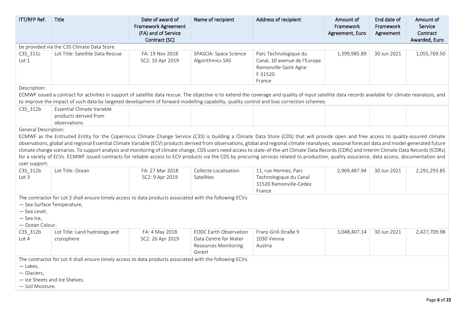| ITT/RFP Ref.                                                                 | Title                                                                                                                                                                                                                                                                                                                                                                                                                                                                                                                                                                                                                                                                                                                                                                                                            | Date of award of<br><b>Framework Agreement</b><br>(FA) and of Service<br>Contract (SC) | Name of recipient                                                                             | Address of recipient                                                                                | Amount of<br>Framework<br>Agreement, Euro | End date of<br>Framework<br>Agreement | Amount of<br>Service<br>Contract<br>Awarded, Euro |
|------------------------------------------------------------------------------|------------------------------------------------------------------------------------------------------------------------------------------------------------------------------------------------------------------------------------------------------------------------------------------------------------------------------------------------------------------------------------------------------------------------------------------------------------------------------------------------------------------------------------------------------------------------------------------------------------------------------------------------------------------------------------------------------------------------------------------------------------------------------------------------------------------|----------------------------------------------------------------------------------------|-----------------------------------------------------------------------------------------------|-----------------------------------------------------------------------------------------------------|-------------------------------------------|---------------------------------------|---------------------------------------------------|
|                                                                              | be provided via the C3S Climate Data Store.                                                                                                                                                                                                                                                                                                                                                                                                                                                                                                                                                                                                                                                                                                                                                                      |                                                                                        |                                                                                               |                                                                                                     |                                           |                                       |                                                   |
| C3S_311c<br>Lot 1                                                            | Lot Title: Satellite Data Rescue                                                                                                                                                                                                                                                                                                                                                                                                                                                                                                                                                                                                                                                                                                                                                                                 | FA: 19 Nov 2018<br>SC2: 10 Apr 2019                                                    | SPASCIA: Space Science<br>Algorithmics SAS                                                    | Parc Technologique du<br>Canal, 10 avenue de l'Europe<br>Ramonville-Saint-Agne<br>F-31520<br>France | 1,399,985.89                              | 30 Jun 2021                           | 1,055,769.50                                      |
| Description:                                                                 | ECMWF issued a contract for activities in support of satellite data rescue. The objective is to extend the coverage and quality of input satellite data records available for climate reanalysis, and<br>to improve the impact of such data by targeted development of forward modelling capability, quality control and bias correction schemes.                                                                                                                                                                                                                                                                                                                                                                                                                                                                |                                                                                        |                                                                                               |                                                                                                     |                                           |                                       |                                                   |
| C3S_312b                                                                     | Essential Climate Variable<br>products derived from<br>observations                                                                                                                                                                                                                                                                                                                                                                                                                                                                                                                                                                                                                                                                                                                                              |                                                                                        |                                                                                               |                                                                                                     |                                           |                                       |                                                   |
| <b>General Description:</b><br>user support.<br>C3S_312b<br>Lot <sub>3</sub> | ECMWF as the Entrusted Entity for the Copernicus Climate Change Service (C3S) is building a Climate Data Store (CDS) that will provide open and free access to quality-assured climate<br>observations, global and regional Essential Climate Variable (ECV) products derived from observations, global and regional climate reanalyses, seasonal forecast data and model-generated future<br>climate change scenarios. To support analysis and monitoring of climate change, CDS users need access to state-of-the-art Climate Data Records (CDRs) and Interim Climate Data Records (ICDRs)<br>for a variety of ECVs. ECMWF issued contracts for reliable access to ECV products via the CDS by procuring services related to production, quality assurance, data access, documentation and<br>Lot Title: Ocean | FA: 27 Mar 2018<br>SC2: 9 Apr 2019                                                     | Collecte Localisation<br>Satellites                                                           | 11, rue Hermes, Parc<br>Technologique du Canal<br>31520 Ramonville-Cedex<br>France                  | 2,969,487.94                              | 30 Jun 2021                           | 2,291,293.85                                      |
| - Sea Surface Temperature,<br>- Sea Level,<br>- Sea Ice,<br>- Ocean Colour.  | The contractor for Lot 3 shall ensure timely access to data products associated with the following ECVs:                                                                                                                                                                                                                                                                                                                                                                                                                                                                                                                                                                                                                                                                                                         |                                                                                        |                                                                                               |                                                                                                     |                                           |                                       |                                                   |
| C3S_312b<br>Lot $4$                                                          | Lot Title: Land hydrology and<br>cryosphere                                                                                                                                                                                                                                                                                                                                                                                                                                                                                                                                                                                                                                                                                                                                                                      | FA: 4 May 2018<br>SC2: 26 Apr 2019                                                     | <b>EODC Earth Observation</b><br>Data Centre for Water<br><b>Resources Monitoring</b><br>GmbH | Franz-Grill-Straße 9<br>1030 Vienna<br>Austria                                                      | 3,048,407.14                              | 30 Jun 2021                           | 2,427,709.98                                      |
| $-$ Lakes,<br>- Glaciers,<br>- Soil Moisture.                                | The contractor for Lot 4 shall ensure timely access to data products associated with the following ECVs:<br>- Ice Sheets and Ice Shelves,                                                                                                                                                                                                                                                                                                                                                                                                                                                                                                                                                                                                                                                                        |                                                                                        |                                                                                               |                                                                                                     |                                           |                                       |                                                   |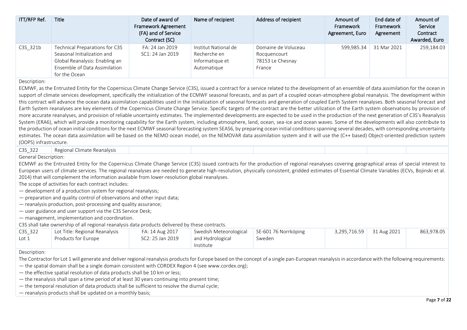| ITT/RFP Ref.                | Title                                                                                                                                                                                              | Date of award of                                  | Name of recipient    | Address of recipient | Amount of<br>Framework | End date of<br>Framework | Amount of<br>Service |
|-----------------------------|----------------------------------------------------------------------------------------------------------------------------------------------------------------------------------------------------|---------------------------------------------------|----------------------|----------------------|------------------------|--------------------------|----------------------|
|                             |                                                                                                                                                                                                    | <b>Framework Agreement</b><br>(FA) and of Service |                      |                      | Agreement, Euro        | Agreement                | Contract             |
|                             |                                                                                                                                                                                                    | Contract (SC)                                     |                      |                      |                        |                          | Awarded, Euro        |
|                             | Technical Preparations for C3S                                                                                                                                                                     | FA: 24 Jan 2019                                   | Institut National de | Domaine de Voluceau  | 599,985.34             | 31 Mar 2021              | 259,184.03           |
| C3S_321b                    | Seasonal Initialization and                                                                                                                                                                        | SC1: 24 Jan 2019                                  | Recherche en         | Rocquencourt         |                        |                          |                      |
|                             | Global Reanalysis: Enabling an                                                                                                                                                                     |                                                   | Informatique et      | 78153 Le Chesnay     |                        |                          |                      |
|                             | Ensemble of Data Assimilation                                                                                                                                                                      |                                                   | Automatique          | France               |                        |                          |                      |
|                             | for the Ocean                                                                                                                                                                                      |                                                   |                      |                      |                        |                          |                      |
| Description:                |                                                                                                                                                                                                    |                                                   |                      |                      |                        |                          |                      |
|                             | ECMWF, as the Entrusted Entity for the Copernicus Climate Change Service (C3S), issued a contract for a service related to the development of an ensemble of data assimilation for the ocean in    |                                                   |                      |                      |                        |                          |                      |
|                             | support of climate services development, specifically the initialization of the ECMWF seasonal forecasts, and as part of a coupled ocean-atmosphere global reanalysis. The development within      |                                                   |                      |                      |                        |                          |                      |
|                             | this contract will advance the ocean data assimilation capabilities used in the initialization of seasonal forecasts and generation of coupled Earth System reanalyses. Both seasonal forecast and |                                                   |                      |                      |                        |                          |                      |
|                             | Earth System reanalyses are key elements of the Copernicus Climate Change Service. Specific targets of the contract are the better utilization of the Earth system observations by provision of    |                                                   |                      |                      |                        |                          |                      |
|                             | more accurate reanalyses, and provision of reliable uncertainty estimates. The implemented developments are expected to be used in the production of the next generation of C3S's Reanalysis       |                                                   |                      |                      |                        |                          |                      |
|                             | System (ERA6), which will provide a monitoring capability for the Earth system, including atmosphere, land, ocean, sea-ice and ocean waves. Some of the developments will also contribute to       |                                                   |                      |                      |                        |                          |                      |
|                             | the production of ocean initial conditions for the next ECMWF seasonal forecasting system SEAS6, by preparing ocean initial conditions spanning several decades, with corresponding uncertainty    |                                                   |                      |                      |                        |                          |                      |
|                             | estimates. The ocean data assimilation will be based on the NEMO ocean model, on the NEMOVAR data assimilation system and it will use the (C++ based) Object-oriented prediction system            |                                                   |                      |                      |                        |                          |                      |
| (OOPS) infrastructure.      |                                                                                                                                                                                                    |                                                   |                      |                      |                        |                          |                      |
| C3S 322                     | Regional Climate Reanalysis                                                                                                                                                                        |                                                   |                      |                      |                        |                          |                      |
| <b>General Description:</b> |                                                                                                                                                                                                    |                                                   |                      |                      |                        |                          |                      |
|                             | ECMWF as the Entrusted Entity for the Copernicus Climate Change Service (C3S) issued contracts for the production of regional reanalyses covering geographical areas of special interest to        |                                                   |                      |                      |                        |                          |                      |
|                             | European users of climate services. The regional reanalyses are needed to generate high-resolution, physically consistent, gridded estimates of Essential Climate Variables (ECVs, Bojinski et al. |                                                   |                      |                      |                        |                          |                      |
|                             | 2014) that will complement the information available from lower-resolution global reanalyses.                                                                                                      |                                                   |                      |                      |                        |                          |                      |
|                             | The scope of activities for each contract includes:                                                                                                                                                |                                                   |                      |                      |                        |                          |                      |
|                             | - development of a production system for regional reanalysis;                                                                                                                                      |                                                   |                      |                      |                        |                          |                      |

— preparation and quality control of observations and other input data;

— reanalysis production, post-processing and quality assurance;

— user guidance and user support via the C3S Service Desk;

— management, implementation and coordination.

C3S shall take ownership of all regional reanalysis data products delivered by these contracts.

| C3S 322 | Lot Title: Regional Reanalysis | FA: 14 Aug 2017  | Swedish Meteorological   SE-601 76 Norrköping |        | $3,295,716.59$ 31 Aug 2021 | 863.978.05 |
|---------|--------------------------------|------------------|-----------------------------------------------|--------|----------------------------|------------|
| Lot 1   | Products for Europe            | SC2: 25 Jan 2019 | and Hydrological                              | Sweden |                            |            |
|         |                                |                  | Institute                                     |        |                            |            |

Description:

The Contractor for Lot 1 will generate and deliver regional reanalysis products for Europe based on the concept of a single pan-European reanalysis in accordance with the following requirements:

— the spatial domain shall be a single domain consistent with CORDEX Region 4 (see www.cordex.org);

- the effective spatial resolution of data products shall be 10 km or less;
- the reanalysis shall span a time period of at least 30 years continuing into present time;
- the temporal resolution of data products shall be sufficient to resolve the diurnal cycle;
- reanalysis products shall be updated on a monthly basis;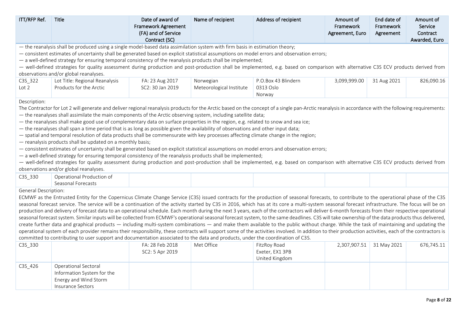| ITT/RFP Ref.         | Title                                                                                                                                                                                                                                                                                                                                                                                                                                                                                                                                                                                                                                                                                                                                                                                                                                                                                                                                                                                                                                                                                                                                                                                                                                                                                                                                             | Date of award of<br>Framework Agreement<br>(FA) and of Service<br>Contract (SC) | Name of recipient                     | Address of recipient                              | Amount of<br>Framework<br>Agreement, Euro | End date of<br>Framework<br>Agreement | Amount of<br>Service<br>Contract<br>Awarded, Euro |
|----------------------|---------------------------------------------------------------------------------------------------------------------------------------------------------------------------------------------------------------------------------------------------------------------------------------------------------------------------------------------------------------------------------------------------------------------------------------------------------------------------------------------------------------------------------------------------------------------------------------------------------------------------------------------------------------------------------------------------------------------------------------------------------------------------------------------------------------------------------------------------------------------------------------------------------------------------------------------------------------------------------------------------------------------------------------------------------------------------------------------------------------------------------------------------------------------------------------------------------------------------------------------------------------------------------------------------------------------------------------------------|---------------------------------------------------------------------------------|---------------------------------------|---------------------------------------------------|-------------------------------------------|---------------------------------------|---------------------------------------------------|
|                      | - the reanalysis shall be produced using a single model-based data assimilation system with firm basis in estimation theory;<br>- consistent estimates of uncertainty shall be generated based on explicit statistical assumptions on model errors and observation errors;<br>- a well-defined strategy for ensuring temporal consistency of the reanalysis products shall be implemented;<br>- well-defined strategies for quality assessment during production and post-production shall be implemented, e.g. based on comparison with alternative C3S ECV products derived from<br>observations and/or global reanalyses.                                                                                                                                                                                                                                                                                                                                                                                                                                                                                                                                                                                                                                                                                                                      |                                                                                 |                                       |                                                   |                                           |                                       |                                                   |
| C3S_322<br>Lot 2     | Lot Title: Regional Reanalysis<br>Products for the Arctic                                                                                                                                                                                                                                                                                                                                                                                                                                                                                                                                                                                                                                                                                                                                                                                                                                                                                                                                                                                                                                                                                                                                                                                                                                                                                         | FA: 23 Aug 2017<br>SC2: 30 Jan 2019                                             | Norwegian<br>Meteorological Institute | P.O.Box 43 Blindern<br>0313 Oslo<br>Norway        | 3,099,999.00                              | 31 Aug 2021                           | 826,090.16                                        |
|                      | The Contractor for Lot 2 will generate and deliver regional reanalysis products for the Arctic based on the concept of a single pan-Arctic reanalysis in accordance with the following requirements:<br>- the reanalyses shall assimilate the main components of the Arctic observing system, including satellite data;<br>- the reanalyses shall make good use of complementary data on surface properties in the region, e.g. related to snow and sea ice;<br>- the reanalyses shall span a time period that is as long as possible given the availability of observations and other input data;<br>- spatial and temporal resolution of data products shall be commensurate with key processes affecting climate change in the region;<br>- reanalysis products shall be updated on a monthly basis;<br>- consistent estimates of uncertainty shall be generated based on explicit statistical assumptions on model errors and observation errors;<br>- a well-defined strategy for ensuring temporal consistency of the reanalysis products shall be implemented;<br>- well-defined strategies for quality assessment during production and post-production shall be implemented, e.g. based on comparison with alternative C3S ECV products derived from<br>observations and/or global reanalyses.                                           |                                                                                 |                                       |                                                   |                                           |                                       |                                                   |
| C3S_330              | Operational Production of<br>Seasonal Forecasts                                                                                                                                                                                                                                                                                                                                                                                                                                                                                                                                                                                                                                                                                                                                                                                                                                                                                                                                                                                                                                                                                                                                                                                                                                                                                                   |                                                                                 |                                       |                                                   |                                           |                                       |                                                   |
| General Description: | ECMWF as the Entrusted Entity for the Copernicus Climate Change Service (C3S) issued contracts for the production of seasonal forecasts, to contribute to the operational phase of the C3S<br>seasonal forecast service. The service will be a continuation of the activity started by C3S in 2016, which has at its core a multi-system seasonal forecast infrastructure. The focus will be on<br>production and delivery of forecast data to an operational schedule. Each month during the next 3 years, each of the contractors will deliver 6-month forecasts from their respective operational<br>seasonal forecast system. Similar inputs will be collected from ECMWF's operational seasonal forecast system, to the same deadlines. C3S will take ownership of the data products thus delivered,<br>create further data and graphical products — including multi-system combinations — and make them available to the public without charge. While the task of maintaining and updating the<br>operational system of each provider remains their responsibility, these contracts will support some of the activities involved. In addition to their production activities, each of the contractors is<br>committed to contributing to user support and documentation associated to the data and products, under the coordination of C3S. |                                                                                 |                                       |                                                   |                                           |                                       |                                                   |
| C3S_330              |                                                                                                                                                                                                                                                                                                                                                                                                                                                                                                                                                                                                                                                                                                                                                                                                                                                                                                                                                                                                                                                                                                                                                                                                                                                                                                                                                   | FA: 28 Feb 2018<br>SC2: 5 Apr 2019                                              | Met Office                            | FitzRoy Road<br>Exeter, EX1 3PB<br>United Kingdom | 2,307,907.51                              | 31 May 2021                           | 676,745.11                                        |
| C3S_426              | Operational Sectoral<br>Information System for the<br>Energy and Wind Storm<br><b>Insurance Sectors</b>                                                                                                                                                                                                                                                                                                                                                                                                                                                                                                                                                                                                                                                                                                                                                                                                                                                                                                                                                                                                                                                                                                                                                                                                                                           |                                                                                 |                                       |                                                   |                                           |                                       |                                                   |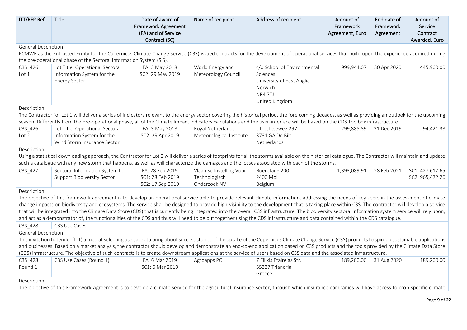| ITT/RFP Ref.                | <b>Title</b>                                                                                                                                                                                                                                                                                                                                                                                                                                                                                                                                                                                                                                                                                                                                                                               | Date of award of<br>Framework Agreement<br>(FA) and of Service<br>Contract (SC) | Name of recipient                             | Address of recipient                                                          | Amount of<br>Framework<br>Agreement, Euro | End date of<br>Framework<br>Agreement | Amount of<br>Service<br>Contract<br>Awarded, Euro |
|-----------------------------|--------------------------------------------------------------------------------------------------------------------------------------------------------------------------------------------------------------------------------------------------------------------------------------------------------------------------------------------------------------------------------------------------------------------------------------------------------------------------------------------------------------------------------------------------------------------------------------------------------------------------------------------------------------------------------------------------------------------------------------------------------------------------------------------|---------------------------------------------------------------------------------|-----------------------------------------------|-------------------------------------------------------------------------------|-------------------------------------------|---------------------------------------|---------------------------------------------------|
| General Description:        |                                                                                                                                                                                                                                                                                                                                                                                                                                                                                                                                                                                                                                                                                                                                                                                            |                                                                                 |                                               |                                                                               |                                           |                                       |                                                   |
|                             | ECMWF as the Entrusted Entity for the Copernicus Climate Change Service (C3S) issued contracts for the development of operational services that build upon the experience acquired during<br>the pre-operational phase of the Sectoral Information System (SIS).                                                                                                                                                                                                                                                                                                                                                                                                                                                                                                                           |                                                                                 |                                               |                                                                               |                                           |                                       |                                                   |
| C3S_426                     | Lot Title: Operational Sectoral                                                                                                                                                                                                                                                                                                                                                                                                                                                                                                                                                                                                                                                                                                                                                            | FA: 3 May 2018                                                                  | World Energy and                              | c/o School of Environmental                                                   | 999,944.07                                | 30 Apr 2020                           | 445,900.00                                        |
| Lot 1                       | Information System for the<br><b>Energy Sector</b>                                                                                                                                                                                                                                                                                                                                                                                                                                                                                                                                                                                                                                                                                                                                         | SC2: 29 May 2019                                                                | Meteorology Council                           | Sciences<br>University of East Anglia<br>Norwich<br>NR4 7TJ<br>United Kingdom |                                           |                                       |                                                   |
| Description:                |                                                                                                                                                                                                                                                                                                                                                                                                                                                                                                                                                                                                                                                                                                                                                                                            |                                                                                 |                                               |                                                                               |                                           |                                       |                                                   |
|                             | The Contractor for Lot 1 will deliver a series of indicators relevant to the energy sector covering the historical period, the fore coming decades, as well as providing an outlook for the upcoming<br>season. Differently from the pre-operational phase, all of the Climate Impact Indicators calculations and the user-interface will be based on the CDS Toolbox infrastructure.                                                                                                                                                                                                                                                                                                                                                                                                      |                                                                                 |                                               |                                                                               |                                           |                                       |                                                   |
| C3S_426<br>Lot <sub>2</sub> | Lot Title: Operational Sectoral<br>Information System for the<br>Wind Storm Insurance Sector                                                                                                                                                                                                                                                                                                                                                                                                                                                                                                                                                                                                                                                                                               | FA: 3 May 2018<br>SC2: 29 Apr 2019                                              | Royal Netherlands<br>Meteorological Institute | Utrechtseweg 297<br>3731 GA De Bilt<br>Netherlands                            | 299,885.89                                | 31 Dec 2019                           | 94,421.38                                         |
| Description:                |                                                                                                                                                                                                                                                                                                                                                                                                                                                                                                                                                                                                                                                                                                                                                                                            |                                                                                 |                                               |                                                                               |                                           |                                       |                                                   |
|                             | Using a statistical downloading approach, the Contractor for Lot 2 will deliver a series of footprints for all the storms available on the historical catalogue. The Contractor will maintain and update                                                                                                                                                                                                                                                                                                                                                                                                                                                                                                                                                                                   |                                                                                 |                                               |                                                                               |                                           |                                       |                                                   |
|                             | such a catalogue with any new storm that happens, as well as will characterize the damages and the losses associated with each of the storms.                                                                                                                                                                                                                                                                                                                                                                                                                                                                                                                                                                                                                                              |                                                                                 |                                               |                                                                               |                                           |                                       |                                                   |
| C3S_427                     | Sectoral Information System to                                                                                                                                                                                                                                                                                                                                                                                                                                                                                                                                                                                                                                                                                                                                                             | FA: 28 Feb 2019                                                                 | Vlaamse Instelling Voor                       | Boeretang 200                                                                 | 1,393,089.91                              | 28 Feb 2021                           | SC1: 427,617.65                                   |
|                             | <b>Support Biodiversity Sector</b>                                                                                                                                                                                                                                                                                                                                                                                                                                                                                                                                                                                                                                                                                                                                                         | SC1: 28 Feb 2019                                                                | Technologisch<br>Onderzoek NV                 | 2400 Mol                                                                      |                                           |                                       | SC2: 965,472.26                                   |
| Description:                |                                                                                                                                                                                                                                                                                                                                                                                                                                                                                                                                                                                                                                                                                                                                                                                            | SC2: 17 Sep 2019                                                                |                                               | Belgium                                                                       |                                           |                                       |                                                   |
|                             | The objective of this framework agreement is to develop an operational service able to provide relevant climate information, addressing the needs of key users in the assessment of climate<br>change impacts on biodiversity and ecosystems. The service shall be designed to provide high-visibility to the development that is taking place within C3S. The contractor will develop a service<br>that will be integrated into the Climate Data Store (CDS) that is currently being integrated into the overall C3S infrastructure. The biodiversity sectoral information system service will rely upon,<br>and act as a demonstrator of, the functionalities of the CDS and thus will need to be put together using the CDS infrastructure and data contained within the CDS catalogue. |                                                                                 |                                               |                                                                               |                                           |                                       |                                                   |
| C3S_428                     | C3S Use Cases                                                                                                                                                                                                                                                                                                                                                                                                                                                                                                                                                                                                                                                                                                                                                                              |                                                                                 |                                               |                                                                               |                                           |                                       |                                                   |
| General Description:        | This invitation to tender (ITT) aimed at selecting use cases to bring about success stories of the uptake of the Copernicus Climate Change Service (C3S) products to spin-up sustainable applications<br>and businesses. Based on a market analysis, the contractor should develop and demonstrate an end-to-end application based on C3S products and the tools provided by the Climate Data Store<br>(CDS) infrastructure. The objective of such contracts is to create downstream applications at the service of users based on C3S data and the associated infrastructure.                                                                                                                                                                                                             |                                                                                 |                                               |                                                                               |                                           |                                       |                                                   |
| C3S_428                     | C3S Use Cases (Round 1)                                                                                                                                                                                                                                                                                                                                                                                                                                                                                                                                                                                                                                                                                                                                                                    | FA: 6 Mar 2019                                                                  | Agroapps PC                                   | 7 Filikis Etaireias Str.                                                      | 189,200.00                                | 31 Aug 2020                           | 189,200.00                                        |
| Round 1                     |                                                                                                                                                                                                                                                                                                                                                                                                                                                                                                                                                                                                                                                                                                                                                                                            | SC1: 6 Mar 2019                                                                 |                                               | 55337 Triandria<br>Greece                                                     |                                           |                                       |                                                   |
| Description:                |                                                                                                                                                                                                                                                                                                                                                                                                                                                                                                                                                                                                                                                                                                                                                                                            |                                                                                 |                                               |                                                                               |                                           |                                       |                                                   |
|                             | The objective of this Framework Agreement is to develop a climate service for the agricultural insurance sector, through which insurance companies will have access to crop-specific climate                                                                                                                                                                                                                                                                                                                                                                                                                                                                                                                                                                                               |                                                                                 |                                               |                                                                               |                                           |                                       |                                                   |
|                             |                                                                                                                                                                                                                                                                                                                                                                                                                                                                                                                                                                                                                                                                                                                                                                                            |                                                                                 |                                               |                                                                               |                                           |                                       |                                                   |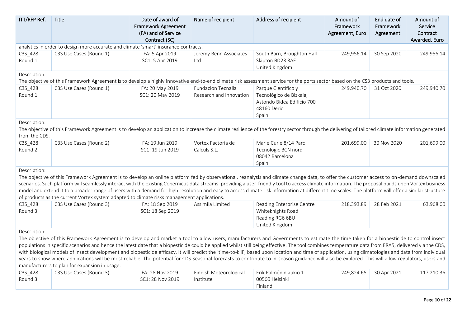| ITT/RFP Ref.                  | Title                                                                                                                                                                                                                                                                                                                                                                                                                                                                                                                                                                                                                                                                                                                                                                                                                                                         | Date of award of<br><b>Framework Agreement</b><br>(FA) and of Service<br>Contract (SC) | Name of recipient                             | Address of recipient                                                                                 | Amount of<br>Framework<br>Agreement, Euro | End date of<br>Framework<br>Agreement | Amount of<br>Service<br>Contract<br>Awarded, Euro |
|-------------------------------|---------------------------------------------------------------------------------------------------------------------------------------------------------------------------------------------------------------------------------------------------------------------------------------------------------------------------------------------------------------------------------------------------------------------------------------------------------------------------------------------------------------------------------------------------------------------------------------------------------------------------------------------------------------------------------------------------------------------------------------------------------------------------------------------------------------------------------------------------------------|----------------------------------------------------------------------------------------|-----------------------------------------------|------------------------------------------------------------------------------------------------------|-------------------------------------------|---------------------------------------|---------------------------------------------------|
|                               | analytics in order to design more accurate and climate 'smart' insurance contracts.                                                                                                                                                                                                                                                                                                                                                                                                                                                                                                                                                                                                                                                                                                                                                                           |                                                                                        |                                               |                                                                                                      |                                           |                                       |                                                   |
| C3S_428<br>Round 1            | C3S Use Cases (Round 1)                                                                                                                                                                                                                                                                                                                                                                                                                                                                                                                                                                                                                                                                                                                                                                                                                                       | FA: 5 Apr 2019<br>SC1: 5 Apr 2019                                                      | Jeremy Benn Associates<br>Ltd                 | South Barn, Broughton Hall<br>Skipton BD23 3AE<br>United Kingdom                                     | 249,956.14                                | 30 Sep 2020                           | 249,956.14                                        |
| Description:                  | The objective of this Framework Agreement is to develop a highly innovative end-to-end climate risk assessment service for the ports sector based on the CS3 products and tools.                                                                                                                                                                                                                                                                                                                                                                                                                                                                                                                                                                                                                                                                              |                                                                                        |                                               |                                                                                                      |                                           |                                       |                                                   |
| C3S_428<br>Round 1            | C3S Use Cases (Round 1)                                                                                                                                                                                                                                                                                                                                                                                                                                                                                                                                                                                                                                                                                                                                                                                                                                       | FA: 20 May 2019<br>SC1: 20 May 2019                                                    | Fundación Tecnalia<br>Research and Innovation | Parque Científico y<br>Tecnológico de Bizkaia,<br>Astondo Bidea Edificio 700<br>48160 Derio<br>Spain | 249,940.70                                | 31 Oct 2020                           | 249,940.70                                        |
| Description:<br>from the CDS. | The objective of this Framework Agreement is to develop an application to increase the climate resilience of the forestry sector through the delivering of tailored climate information generated                                                                                                                                                                                                                                                                                                                                                                                                                                                                                                                                                                                                                                                             |                                                                                        |                                               |                                                                                                      |                                           |                                       |                                                   |
| C3S_428<br>Round 2            | C3S Use Cases (Round 2)                                                                                                                                                                                                                                                                                                                                                                                                                                                                                                                                                                                                                                                                                                                                                                                                                                       | FA: 19 Jun 2019<br>SC1: 19 Jun 2019                                                    | Vortex Factoria de<br>Calculs S.L.            | Marie Curie 8/14 Parc<br>Tecnologic BCN nord<br>08042 Barcelona<br>Spain                             | 201,699.00                                | 30 Nov 2020                           | 201,699.00                                        |
| Description:                  | The objective of this Framework Agreement is to develop an online platform fed by observational, reanalysis and climate change data, to offer the customer access to on-demand downscaled<br>scenarios. Such platform will seamlessly interact with the existing Copernicus data streams, providing a user-friendly tool to access climate information. The proposal builds upon Vortex business<br>model and extend it to a broader range of users with a demand for high resolution and easy to access climate risk information at different time scales. The platform will offer a similar structure<br>of products as the current Vortex system adapted to climate risks management applications.                                                                                                                                                         |                                                                                        |                                               |                                                                                                      |                                           |                                       |                                                   |
| C3S_428<br>Round 3            | C3S Use Cases (Round 3)                                                                                                                                                                                                                                                                                                                                                                                                                                                                                                                                                                                                                                                                                                                                                                                                                                       | FA: 18 Sep 2019<br>SC1: 18 Sep 2019                                                    | Assimila Limited                              | Reading Enterprise Centre<br>Whiteknights Road<br>Reading RG6 6BU<br>United Kingdom                  | 218,393.89                                | 28 Feb 2021                           | 63,968.00                                         |
| Description:                  |                                                                                                                                                                                                                                                                                                                                                                                                                                                                                                                                                                                                                                                                                                                                                                                                                                                               |                                                                                        |                                               |                                                                                                      |                                           |                                       |                                                   |
|                               | The objective of this Framework Agreement is to develop and market a tool to allow users, manufacturers and Governments to estimate the time taken for a biopesticide to control insect<br>populations in specific scenarios and hence the latest date that a biopesticide could be applied whilst still being effective. The tool combines temperature data from ERA5, delivered via the CDS,<br>with biological models of insect development and biopesticide efficacy. It will predict the 'time-to-kill', based upon location and time of application, using climatologies and data from individual<br>years to show where applications will be most reliable. The potential for CDS Seasonal forecasts to contribute to in-season guidance will also be explored. This will allow regulators, users and<br>manufacturers to plan for expansion in usage. |                                                                                        |                                               |                                                                                                      |                                           |                                       |                                                   |
| C3S_428<br>Round 3            | C3S Use Cases (Round 3)                                                                                                                                                                                                                                                                                                                                                                                                                                                                                                                                                                                                                                                                                                                                                                                                                                       | FA: 28 Nov 2019<br>SC1: 28 Nov 2019                                                    | Finnish Meteorological<br>Institute           | Erik Palménin aukio 1<br>00560 Helsinki<br>Finland                                                   | 249,824.65                                | 30 Apr 2021                           | 117,210.36                                        |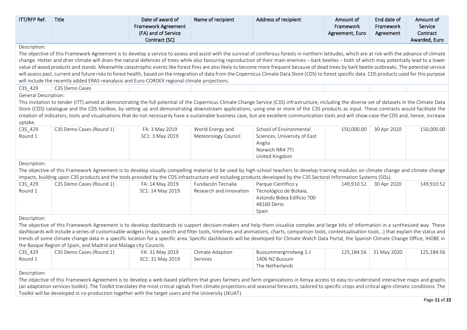| ITT/RFP Ref.                | <b>Title</b>                                                                                                                                                                                              | Date of award of<br>Framework Agreement<br>(FA) and of Service<br>Contract (SC) | Name of recipient       | Address of recipient         | Amount of<br>Framework<br>Agreement, Euro | End date of<br>Framework<br>Agreement | Amount of<br>Service<br>Contract<br>Awarded, Euro |
|-----------------------------|-----------------------------------------------------------------------------------------------------------------------------------------------------------------------------------------------------------|---------------------------------------------------------------------------------|-------------------------|------------------------------|-------------------------------------------|---------------------------------------|---------------------------------------------------|
| Description:                |                                                                                                                                                                                                           |                                                                                 |                         |                              |                                           |                                       |                                                   |
|                             | The objective of this Framework Agreement is to develop a service to assess and assist with the survival of coniferous forests in northern latitudes, which are at risk with the advance of climate       |                                                                                 |                         |                              |                                           |                                       |                                                   |
|                             | change. Hotter and drier climate will drain the natural defences of trees while also favouring reproduction of their main enemies - bark beetles - both of which may potentially lead to a lower          |                                                                                 |                         |                              |                                           |                                       |                                                   |
|                             | value of wood products and stands. Meanwhile catastrophic events like forest fires are also likely to become more frequent because of dead trees by bark beetle outbreaks. The potential service          |                                                                                 |                         |                              |                                           |                                       |                                                   |
|                             | will assess past, current and future risks to forest health, based on the integration of data from the Copernicus Climate Data Store (CDS) to forest specific data. CDS products used for this purpose    |                                                                                 |                         |                              |                                           |                                       |                                                   |
|                             | will include the recently added ERA5 reanalysis and Euro-CORDEX regional climate projections.                                                                                                             |                                                                                 |                         |                              |                                           |                                       |                                                   |
| C3S_429                     | C3S Demo Cases                                                                                                                                                                                            |                                                                                 |                         |                              |                                           |                                       |                                                   |
| <b>General Description:</b> |                                                                                                                                                                                                           |                                                                                 |                         |                              |                                           |                                       |                                                   |
|                             | This invitation to tender (ITT) aimed at demonstrating the full potential of the Copernicus Climate Change Service (C3S) infrastructure, including the diverse set of datasets in the Climate Data        |                                                                                 |                         |                              |                                           |                                       |                                                   |
|                             | Store (CDS) catalogue and the CDS toolbox, by setting up and demonstrating downstream applications, using one or more of the C3S products as input. These contracts would facilitate the                  |                                                                                 |                         |                              |                                           |                                       |                                                   |
|                             | creation of indicators, tools and visualisations that do not necessarily have a sustainable business case, but are excellent communication tools and will show-case the CDS and, hence, increase          |                                                                                 |                         |                              |                                           |                                       |                                                   |
| uptake.                     |                                                                                                                                                                                                           |                                                                                 |                         |                              |                                           |                                       |                                                   |
| C3S_429                     | C3S Demo Cases (Round 1)                                                                                                                                                                                  | FA: 3 May 2019                                                                  | World Energy and        | School of Environmental      | 150,000.00                                | 30 Apr 2020                           | 150,000.00                                        |
| Round 1                     |                                                                                                                                                                                                           | SC1: 3 May 2019                                                                 | Meteorology Council     | Sciences, University of East |                                           |                                       |                                                   |
|                             |                                                                                                                                                                                                           |                                                                                 |                         | Anglia                       |                                           |                                       |                                                   |
|                             |                                                                                                                                                                                                           |                                                                                 |                         | Norwich NR4 7TJ              |                                           |                                       |                                                   |
|                             |                                                                                                                                                                                                           |                                                                                 |                         | United Kingdom               |                                           |                                       |                                                   |
| Description:                |                                                                                                                                                                                                           |                                                                                 |                         |                              |                                           |                                       |                                                   |
|                             | The objective of this Framework Agreement is to develop visually compelling material to be used by high-school teachers to develop training modules on climate change and climate change                  |                                                                                 |                         |                              |                                           |                                       |                                                   |
|                             | impacts, building upon C3S products and the tools provided by the CDS infrastructure and including products developed by the C3S Sectoral Information Systems (SISs).                                     |                                                                                 |                         |                              |                                           |                                       |                                                   |
| C3S_429                     | C3S Demo Cases (Round 1)                                                                                                                                                                                  | FA: 14 May 2019                                                                 | Fundación Tecnalia      | Parque Científico y          | 149,910.52                                | 30 Apr 2020                           | 149,910.52                                        |
| Round 1                     |                                                                                                                                                                                                           | SC1: 14 May 2019                                                                | Research and Innovation | Tecnológico de Bizkaia,      |                                           |                                       |                                                   |
|                             |                                                                                                                                                                                                           |                                                                                 |                         | Astondo Bidea Edificio 700   |                                           |                                       |                                                   |
|                             |                                                                                                                                                                                                           |                                                                                 |                         | 48160 Derio                  |                                           |                                       |                                                   |
|                             |                                                                                                                                                                                                           |                                                                                 |                         | Spain                        |                                           |                                       |                                                   |
| Description:                |                                                                                                                                                                                                           |                                                                                 |                         |                              |                                           |                                       |                                                   |
|                             | The objective of this Framework Agreement is to develop dashboards to support decision-makers and help them visualise complex and large bits of information in a synthesized way. These                   |                                                                                 |                         |                              |                                           |                                       |                                                   |
|                             | dashboards will include a series of customisable widgets (maps, search and filter tools, timelines and animations, charts, comparison tools, contextualisation tools) that explain the status and         |                                                                                 |                         |                              |                                           |                                       |                                                   |
|                             | trends of some climate change data in a specific location for a specific area. Specific dashboards will be developed for Climate Watch Data Portal, the Spanish Climate Change Office, IHOBE in           |                                                                                 |                         |                              |                                           |                                       |                                                   |
|                             | the Basque Region of Spain, and Madrid and Malaga city Councils.                                                                                                                                          |                                                                                 |                         |                              |                                           |                                       |                                                   |
| C3S_429                     | C3S Demo Cases (Round 1)                                                                                                                                                                                  | FA: 31 May 2019                                                                 | Climate Adaption        | Bussummergrindweg 1-J        | 125,184.56                                | 31 May 2020                           | 125,184.56                                        |
| Round 1                     |                                                                                                                                                                                                           | SC1: 31 May 2019                                                                | Services                | 1406 NZ Bussum               |                                           |                                       |                                                   |
|                             |                                                                                                                                                                                                           |                                                                                 |                         | The Netherlands              |                                           |                                       |                                                   |
| Description:                |                                                                                                                                                                                                           |                                                                                 |                         |                              |                                           |                                       |                                                   |
|                             | The objective of this Framework Agreement is to develop a web-based platform that gives farmers and farm organizations in Kenya access to easy-to-understand interactive maps and graphs                  |                                                                                 |                         |                              |                                           |                                       |                                                   |
|                             | (an adaptation services toolkit). The Toolkit translates the most critical signals from climate projections and seasonal forecasts, tailored to specific crops and critical agro-climatic conditions. The |                                                                                 |                         |                              |                                           |                                       |                                                   |

Toolkit will be developed in co-production together with the target users and the University (JKUAT).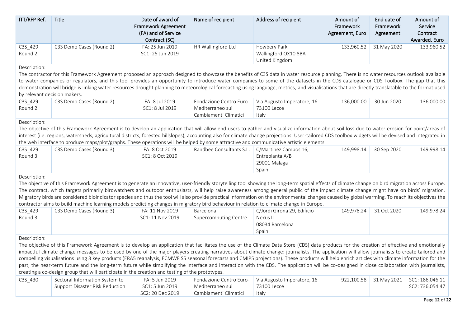| ITT/RFP Ref.                                                                                                                                                                                                                                                                                                                                                                                                                                                                                                                                                                                                                         | Title                                                                                                                                                                                                                                                                                                                                                                                                                                                                                                                                                                                                                                                                                                                                                                                                                                                                                               | Date of award of<br><b>Framework Agreement</b><br>(FA) and of Service<br>Contract (SC) | Name of recipient                                                    | Address of recipient                                                | Amount of<br>Framework<br>Agreement, Euro | End date of<br>Framework<br>Agreement | Amount of<br>Service<br>Contract<br>Awarded, Euro |  |  |  |
|--------------------------------------------------------------------------------------------------------------------------------------------------------------------------------------------------------------------------------------------------------------------------------------------------------------------------------------------------------------------------------------------------------------------------------------------------------------------------------------------------------------------------------------------------------------------------------------------------------------------------------------|-----------------------------------------------------------------------------------------------------------------------------------------------------------------------------------------------------------------------------------------------------------------------------------------------------------------------------------------------------------------------------------------------------------------------------------------------------------------------------------------------------------------------------------------------------------------------------------------------------------------------------------------------------------------------------------------------------------------------------------------------------------------------------------------------------------------------------------------------------------------------------------------------------|----------------------------------------------------------------------------------------|----------------------------------------------------------------------|---------------------------------------------------------------------|-------------------------------------------|---------------------------------------|---------------------------------------------------|--|--|--|
| C3S_429<br>Round 2                                                                                                                                                                                                                                                                                                                                                                                                                                                                                                                                                                                                                   | C3S Demo Cases (Round 2)                                                                                                                                                                                                                                                                                                                                                                                                                                                                                                                                                                                                                                                                                                                                                                                                                                                                            | FA: 25 Jun 2019<br>SC1: 25 Jun 2019                                                    | HR Wallingford Ltd                                                   | Howbery Park<br>Wallingford OX10 8BA<br>United Kingdom              | 133,960.52                                | 31 May 2020                           | 133,960.52                                        |  |  |  |
| Description:<br>The contractor for this Framework Agreement proposed an approach designed to showcase the benefits of C3S data in water resource planning. There is no water resources outlook available<br>to water companies or regulators, and this tool provides an opportunity to introduce water companies to some of the datasets in the CDS catalogue or CDS Toolbox. The gap that this<br>demonstration will bridge is linking water resources drought planning to meteorological forecasting using language, metrics, and visualisations that are directly translatable to the format used<br>by relevant decision makers. |                                                                                                                                                                                                                                                                                                                                                                                                                                                                                                                                                                                                                                                                                                                                                                                                                                                                                                     |                                                                                        |                                                                      |                                                                     |                                           |                                       |                                                   |  |  |  |
| C3S_429<br>Round 2                                                                                                                                                                                                                                                                                                                                                                                                                                                                                                                                                                                                                   | C3S Demo Cases (Round 2)                                                                                                                                                                                                                                                                                                                                                                                                                                                                                                                                                                                                                                                                                                                                                                                                                                                                            | FA: 8 Jul 2019<br>SC1: 8 Jul 2019                                                      | Fondazione Centro Euro-<br>Mediterraneo sui<br>Cambiamenti Climatici | Via Augusto Imperatore, 16<br>73100 Lecce<br>Italy                  | 136,000.00                                | 30 Jun 2020                           | 136,000.00                                        |  |  |  |
| Description:<br>The objective of this Framework Agreement is to develop an application that will allow end-users to gather and visualize information about soil loss due to water erosion for point/areas of<br>interest (i.e. regions, watersheds, agricultural districts, forested hillslopes), accounting also for climate change projections. User-tailored CDS toolbox widgets will be devised and integrated in<br>the web interface to produce maps/plot/graphs. These operations will be helped by some attractive and communicative artistic elements.                                                                      |                                                                                                                                                                                                                                                                                                                                                                                                                                                                                                                                                                                                                                                                                                                                                                                                                                                                                                     |                                                                                        |                                                                      |                                                                     |                                           |                                       |                                                   |  |  |  |
| C3S_429<br>Round 3                                                                                                                                                                                                                                                                                                                                                                                                                                                                                                                                                                                                                   | C3S Demo Cases (Round 3)                                                                                                                                                                                                                                                                                                                                                                                                                                                                                                                                                                                                                                                                                                                                                                                                                                                                            | FA: 8 Oct 2019<br>SC1: 8 Oct 2019                                                      | Randbee Consultants S.L.                                             | C/Martinez Campos 16,<br>Entreplanta A/B<br>29001 Malaga<br>Spain   | 149,998.14                                | 30 Sep 2020                           | 149,998.14                                        |  |  |  |
| Description:                                                                                                                                                                                                                                                                                                                                                                                                                                                                                                                                                                                                                         | The objective of this Framework Agreement is to generate an innovative, user-friendly storytelling tool showing the long-term spatial effects of climate change on bird migration across Europe.<br>The contract, which targets primarily birdwatchers and outdoor enthusiasts, will help raise awareness among general public of the impact climate change might have on birds' migration.<br>Migratory birds are considered bioindicator species and thus the tool will also provide practical information on the environmental changes caused by global warming. To reach its objectives the<br>contractor aims to build machine learning models predicting changes in migratory bird behaviour in relation to climate change in Europe.                                                                                                                                                         |                                                                                        |                                                                      |                                                                     |                                           |                                       |                                                   |  |  |  |
| C3S_429<br>Round 3                                                                                                                                                                                                                                                                                                                                                                                                                                                                                                                                                                                                                   | C3S Demo Cases (Round 3)                                                                                                                                                                                                                                                                                                                                                                                                                                                                                                                                                                                                                                                                                                                                                                                                                                                                            | FA: 11 Nov 2019<br>SC1: 11 Nov 2019                                                    | Barcelona<br><b>Supercomputing Centre</b>                            | C/Jordi Girona 29, Edificio<br>Nexus II<br>08034 Barcelona<br>Spain | 149,978.24                                | 31 Oct 2020                           | 149,978.24                                        |  |  |  |
| Description:                                                                                                                                                                                                                                                                                                                                                                                                                                                                                                                                                                                                                         | The objective of this Framework Agreement is to develop an application that facilitates the use of the Climate Data Store (CDS) data products for the creation of effective and emotionally<br>impactful climate change messages to be used by one of the major players creating narratives about climate change: journalists. The application will allow journalists to create tailored and<br>compelling visualisations using 3 key products (ERA5 reanalysis, ECMWF S5 seasonal forecasts and CMIP5 projections). These products will help enrich articles with climate information for the<br>past, the near-term future and the long-term future while simplifying the interface and interaction with the CDS. The application will be co-designed in close collaboration with journalists,<br>creating a co-design group that will participate in the creation and testing of the prototypes. |                                                                                        |                                                                      |                                                                     |                                           |                                       |                                                   |  |  |  |
| C3S_430                                                                                                                                                                                                                                                                                                                                                                                                                                                                                                                                                                                                                              | Sectoral Information System to<br>Support Disaster Risk Reduction                                                                                                                                                                                                                                                                                                                                                                                                                                                                                                                                                                                                                                                                                                                                                                                                                                   | FA: 5 Jun 2019<br>SC1: 5 Jun 2019<br>SC2: 20 Dec 2019                                  | Fondazione Centro Euro-<br>Mediterraneo sui<br>Cambiamenti Climatici | Via Augusto Imperatore, 16<br>73100 Lecce<br>Italy                  | 922,100.58                                | 31 May 2021                           | SC1: 186,046.11<br>SC2: 736,054.47                |  |  |  |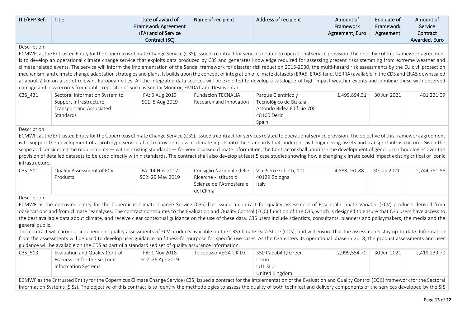| <b>ITT/RFP Ref.</b> | Title | Date of award of<br><b>Framework Agreement</b><br>(FA) and of Service<br>Contract (SC) | Name of recipient | Address of recipient | Amount of<br><b>Framework</b><br>Agreement, Euro | End date of<br>Framework<br>Agreement | Amount of<br>Service<br>Contract<br>Awarded, Euro |
|---------------------|-------|----------------------------------------------------------------------------------------|-------------------|----------------------|--------------------------------------------------|---------------------------------------|---------------------------------------------------|
|                     |       |                                                                                        |                   |                      |                                                  |                                       |                                                   |

ECMWF, as the Entrusted Entity for the Copernicus Climate Change Service (C3S), issued a contract for services related to operational service provision. The objective of this framework agreement is to develop an operational climate change service that exploits data produced by C3S and generates knowledge required for assessing present risks stemming from extreme weather and climate related events. The service will inform the implementation of the Sendai framework for disaster risk reduction 2015-2030, the multi-hazard risk assessments by the EU civil protection mechanism, and climate change adaptation strategies and plans. It builds upon the concept of integration of climate datasets (ERA5, ERA5-land, UERRA) available in the CDS and ERA5 downscaled at about 2 km on a set of relevant European cities. All the integrated data sources will be exploited to develop a catalogue of high impact weather events and combine these with observed damage and loss records from public repositories such as Sendai Monitor, EMDAT and Desinventar.

| C3S 431 | Sectoral Information System to | FA: 5 Aug 2019  | Fundación TECNALIA      | Parque Científico y        | 1,499,894.31 | 30 Jun 2021 | 401,221.09 |
|---------|--------------------------------|-----------------|-------------------------|----------------------------|--------------|-------------|------------|
|         | Support Infrastructure,        | SC1: 5 Aug 2019 | Research and Innovation | Tecnológico de Bizkaia,    |              |             |            |
|         | Transport and Associated       |                 |                         | Astondo Bidea Edificio 700 |              |             |            |
|         | Standards                      |                 |                         | 48160 Derio                |              |             |            |
|         |                                |                 |                         | Spain                      |              |             |            |

#### Description:

ECMWF, as the Entrusted Entity for the Copernicus Climate Change Service (C3S), issued a contract for services related to operational service provision. The objective of this framework agreement is to support the development of a prototype service able to provide relevant climate inputs into the standards that underpin civil engineering assets and transport infrastructure. Given the scope and considering the requirements — within existing standards — for very localised climate information, the Contractor shall prioritise the development of generic methodologies over the provision of detailed datasets to be used directly within standards. The contract shall also develop at least 5 case studies showing how a changing climate could impact existing critical or iconic infrastructure.

| C3S 511 | Quality Assessment of ECV<br>Products | FA: 14 Nov 2017<br>SC2: 29 May 2019 | Consiglio Nazionale delle   Via Piero Gobetti, 101<br>Ricerche - Istituto di<br>Scienze dell'Atmosfera e<br>del Clima | 40129 Bologna<br>Italv | 4.888.061.88 | 30 Jun 2021 | 2,744,751.86 |
|---------|---------------------------------------|-------------------------------------|-----------------------------------------------------------------------------------------------------------------------|------------------------|--------------|-------------|--------------|
|---------|---------------------------------------|-------------------------------------|-----------------------------------------------------------------------------------------------------------------------|------------------------|--------------|-------------|--------------|

#### Description:

ECMWF as the entrusted entity for the Copernicus Climate Change Service (C3S) has issued a contract for quality assessment of Essential Climate Variable (ECV) products derived from observations and from climate reanalyses. The contract contributes to the Evaluation and Quality Control (EQC) function of the C3S, which is designed to ensure that C3S users have access to the best available data about climate, and receive clear contextual guidance on the use of these data. C3S users include scientists, consultants, planners and policymakers, the media and the general public.

This contract will carry out independent quality assessments of ECV products available on the C3S Climate Data Store (CDS), and will ensure that the assessments stay up-to-date. Information from the assessments will be used to develop user guidance on fitness-for-purpose for specific use cases. As the C3S enters its operational phase in 2018, the product assessments and user guidance will be available on the CDS as part of a standardised set of quality assurance information.

| C3S 513 | Evaluation and Quality Control | FA: 1 Nov 2018   | Telespazio VEGA UK Ltd | 350 Capability Green | 2.999.554.70 | 30 Jun 2021 | 2,419,239.70 |
|---------|--------------------------------|------------------|------------------------|----------------------|--------------|-------------|--------------|
|         | Framework for the Sectoral     | SC2: 26 Apr 2019 |                        | Luton                |              |             |              |
|         | Information Systems            |                  |                        | LU13LU               |              |             |              |
|         |                                |                  |                        | United Kingdom       |              |             |              |

ECMWF as the Entrusted Entity for the Copernicus Climate Change Service (C3S) issued a contract for the implementation of the Evaluation and Quality Control (EQC) framework for the Sectoral Information Systems (SISs). The objective of this contract is to identify the methodologies to assess the quality of both technical and delivery components of the services developed by the SIS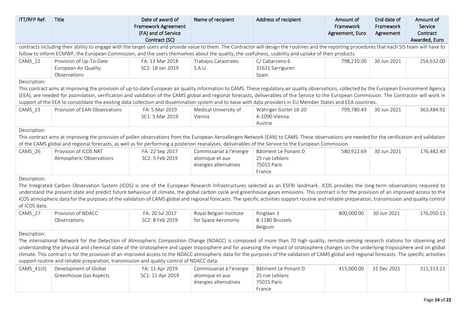| ITT/RFP Ref.                  | Title                                                                                                                                                                                                                                                                                                                                                                                                                                                                                                                                                                                                                                                                            | Date of award of<br><b>Framework Agreement</b><br>(FA) and of Service<br>Contract (SC) | Name of recipient                                                    | Address of recipient                                            | Amount of<br>Framework<br>Agreement, Euro | End date of<br>Framework<br>Agreement | Amount of<br>Service<br>Contract<br>Awarded, Euro |
|-------------------------------|----------------------------------------------------------------------------------------------------------------------------------------------------------------------------------------------------------------------------------------------------------------------------------------------------------------------------------------------------------------------------------------------------------------------------------------------------------------------------------------------------------------------------------------------------------------------------------------------------------------------------------------------------------------------------------|----------------------------------------------------------------------------------------|----------------------------------------------------------------------|-----------------------------------------------------------------|-------------------------------------------|---------------------------------------|---------------------------------------------------|
|                               | contracts including their ability to engage with the target users and provide value to them. The Contractor will design the routines and the reporting procedures that each SIS team will have to                                                                                                                                                                                                                                                                                                                                                                                                                                                                                |                                                                                        |                                                                      |                                                                 |                                           |                                       |                                                   |
|                               | follow to inform ECMWF, the European Commission, and the users themselves about the quality, the usefulness, usability and uptake of their products.                                                                                                                                                                                                                                                                                                                                                                                                                                                                                                                             |                                                                                        |                                                                      |                                                                 |                                           |                                       |                                                   |
| CAMS 22                       | Provision of Up-To-Date<br>European Air Quality<br>Observations                                                                                                                                                                                                                                                                                                                                                                                                                                                                                                                                                                                                                  | FA: 13 Mar 2018<br>SC2: 18 Jan 2019                                                    | Trabajos Catastrales<br>S.A.U.                                       | C/Cabarceno 6<br>31621 Sarriguren<br>Spain                      | 798,210.00                                | 30 Jun 2021                           | 254,632.00                                        |
| Description:                  |                                                                                                                                                                                                                                                                                                                                                                                                                                                                                                                                                                                                                                                                                  |                                                                                        |                                                                      |                                                                 |                                           |                                       |                                                   |
|                               | This contract aims at improving the provision of up-to-date European air quality information to CAMS. These regulatory air quality observations, collected by the European Environment Agency<br>(EEA), are needed for assimilation, verification and validation of the CAMS global and regional forecasts, deliverables of the Service to the European Commission. The Contractor will work in<br>support of the EEA to consolidate the existing data collection and dissemination system and to liaise with data providers in EU Member States and EEA countries.                                                                                                              |                                                                                        |                                                                      |                                                                 |                                           |                                       |                                                   |
| CAMS_23                       | Provision of EAN Observations                                                                                                                                                                                                                                                                                                                                                                                                                                                                                                                                                                                                                                                    | FA: 5 Mar 2019<br>SC1: 5 Mar 2019                                                      | Medical University of<br>Vienna                                      | Währiger Gürtel 18-20<br>A-1090 Vienna<br>Austria               | 799.780.49                                | 30 Jun 2021                           | 363,484.92                                        |
| Description:                  |                                                                                                                                                                                                                                                                                                                                                                                                                                                                                                                                                                                                                                                                                  |                                                                                        |                                                                      |                                                                 |                                           |                                       |                                                   |
|                               | This contract aims at improving the provision of pollen observations from the European Aeroallergen Network (EAN) to CAMS. These observations are needed for the verification and validation<br>of the CAMS global and regional forecasts, as well as for performing a posteriori reanalyses, deliverables of the Service to the European Commission.                                                                                                                                                                                                                                                                                                                            |                                                                                        |                                                                      |                                                                 |                                           |                                       |                                                   |
| CAMS_26                       | Provision of ICOS NRT<br>Atmospheric Observations                                                                                                                                                                                                                                                                                                                                                                                                                                                                                                                                                                                                                                | FA: 22 Sep 2017<br>SC2: 5 Feb 2019                                                     | Commissariat à l'énergie<br>atomique et aux<br>énergies alternatives | Bâtiment Le Ponant D<br>25 rue Leblanc<br>75015 Paris<br>France | 580,922.69                                | 30 Jun 2021                           | 176,482.40                                        |
| Description:<br>of ICOS data. | The Integrated Carbon Observation System (ICOS) is one of the European Research Infrastructures selected as an ESFRI landmark. ICOS provides the long-term observations required to<br>understand the present state and predict future behaviour of climate, the global carbon cycle and greenhouse gases emissions. This contract is for the provision of an improved access to the<br>ICOS atmospheric data for the purposes of the validation of CAMS global and regional forecasts. The specific activities support routine and reliable preparation, transmission and quality control                                                                                       |                                                                                        |                                                                      |                                                                 |                                           |                                       |                                                   |
| CAMS_27                       | Provision of NDACC<br>Observations                                                                                                                                                                                                                                                                                                                                                                                                                                                                                                                                                                                                                                               | FA: 20 Jul 2017<br>SC2: 8 Feb 2019                                                     | Royal Belgian Institute<br>for Space Aeronomy                        | Ringlaan 3<br>B-1180 Brussels<br>Belgium                        | 800,000.00                                | 30 Jun 2021                           | 176,050.13                                        |
| Description:                  |                                                                                                                                                                                                                                                                                                                                                                                                                                                                                                                                                                                                                                                                                  |                                                                                        |                                                                      |                                                                 |                                           |                                       |                                                   |
|                               | The international Network for the Detection of Atmospheric Composition Change (NDACC) is composed of more than 70 high-quality, remote-sensing research stations for observing and<br>understanding the physical and chemical state of the stratosphere and upper troposphere and for assessing the impact of stratosphere changes on the underlying troposphere and on global<br>climate. This contract is for the provision of an improved access to the NDACC atmospheric data for the purposes of the validation of CAMS global and regional forecasts. The specific activities<br>support routine and reliable preparation, transmission and quality control of NDACC data. |                                                                                        |                                                                      |                                                                 |                                           |                                       |                                                   |
| $CAMS_41(II)$                 | Development of Global                                                                                                                                                                                                                                                                                                                                                                                                                                                                                                                                                                                                                                                            | FA: 11 Apr 2019                                                                        | Commissariat à l'énergie                                             | Bâtiment Le Ponant D                                            | 415,000.00                                | 31 Dec 2021                           | 311,313.21                                        |
|                               | Greenhouse Gas Aspects                                                                                                                                                                                                                                                                                                                                                                                                                                                                                                                                                                                                                                                           | SC1: 11 Apr 2019                                                                       | atomique et aux<br>énergies alternatives                             | 25 rue Leblanc<br>75015 Paris<br>France                         |                                           |                                       |                                                   |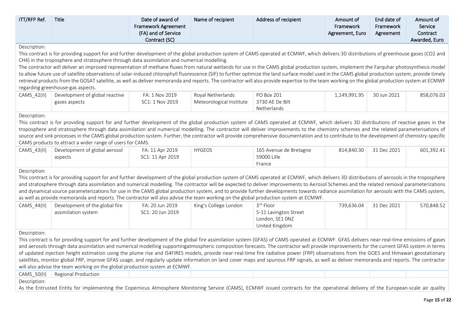| ITT/RFP Ref.                                                                                                                                                                                                                                                                                                                                                                                                                                                                                                                                                                                                                                                                                                                                                                                                                                                                                                                                       | <b>Title</b>                                                                                                                                                                                                                                                                                                                                                                                                                                                                                                                                                                                                                                                                                                                  | Date of award of<br><b>Framework Agreement</b><br>(FA) and of Service<br>Contract (SC) | Name of recipient                             | Address of recipient                                                    | Amount of<br>Framework<br>Agreement, Euro | End date of<br>Framework<br>Agreement | Amount of<br>Service<br>Contract<br>Awarded, Euro |  |  |  |  |
|----------------------------------------------------------------------------------------------------------------------------------------------------------------------------------------------------------------------------------------------------------------------------------------------------------------------------------------------------------------------------------------------------------------------------------------------------------------------------------------------------------------------------------------------------------------------------------------------------------------------------------------------------------------------------------------------------------------------------------------------------------------------------------------------------------------------------------------------------------------------------------------------------------------------------------------------------|-------------------------------------------------------------------------------------------------------------------------------------------------------------------------------------------------------------------------------------------------------------------------------------------------------------------------------------------------------------------------------------------------------------------------------------------------------------------------------------------------------------------------------------------------------------------------------------------------------------------------------------------------------------------------------------------------------------------------------|----------------------------------------------------------------------------------------|-----------------------------------------------|-------------------------------------------------------------------------|-------------------------------------------|---------------------------------------|---------------------------------------------------|--|--|--|--|
| Description:<br>This contract is for providing support for and further development of the global production system of CAMS operated at ECMWF, which delivers 3D distributions of greenhouse gases (CO2 and<br>CH4) in the troposphere and stratosphere through data assimilation and numerical modelling.<br>The contractor will deliver an improved representation of methane fluxes from natural wetlands for use in the CAMS global production system, implement the Farquhar photosynthesis model<br>to allow future use of satellite observations of solar-induced chlorophyll fluorescence (SIF) to further optimize the land surface model used in the CAMS global production system, provide timely<br>retrieval products from the GOSAT satellite, as well as deliver memoranda and reports. The contractor will also provide expertise to the team working on the global production system at ECMWF<br>regarding greenhouse-gas aspects. |                                                                                                                                                                                                                                                                                                                                                                                                                                                                                                                                                                                                                                                                                                                               |                                                                                        |                                               |                                                                         |                                           |                                       |                                                   |  |  |  |  |
| CAMS_42(II)                                                                                                                                                                                                                                                                                                                                                                                                                                                                                                                                                                                                                                                                                                                                                                                                                                                                                                                                        | Development of global reactive<br>gases aspects                                                                                                                                                                                                                                                                                                                                                                                                                                                                                                                                                                                                                                                                               | FA: 1 Nov 2019<br>SC1: 1 Nov 2019                                                      | Royal Netherlands<br>Meteorological Institute | PO Box 201<br>3730 AE De Bilt<br>Netherlands                            | 1,149,991.95                              | 30 Jun 2021                           | 858,076.03                                        |  |  |  |  |
| Description:                                                                                                                                                                                                                                                                                                                                                                                                                                                                                                                                                                                                                                                                                                                                                                                                                                                                                                                                       | This contract is for providing support for and further development of the global production system of CAMS operated at ECMWF, which delivers 3D distributions of reactive gases in the<br>troposphere and stratosphere through data assimilation and numerical modelling. The contractor will deliver improvements to the chemistry schemes and the related parameterisations of<br>source and sink processes in the CAMS global production system. Further, the contractor will provide comprehensive documentation and to contribute to the development of chemistry-specific<br>CAMS products to attract a wider range of users for CAMS.                                                                                  |                                                                                        |                                               |                                                                         |                                           |                                       |                                                   |  |  |  |  |
| CAMS_43(II)                                                                                                                                                                                                                                                                                                                                                                                                                                                                                                                                                                                                                                                                                                                                                                                                                                                                                                                                        | Development of global aerosol<br>aspects                                                                                                                                                                                                                                                                                                                                                                                                                                                                                                                                                                                                                                                                                      | FA: 11 Apr 2019<br>SC1: 11 Apr 2019                                                    | <b>HYGEOS</b>                                 | 165 Avenue de Bretagne<br>59000 Lille<br>France                         | 814,840.30                                | 31 Dec 2021                           | 601,392.41                                        |  |  |  |  |
| Description:                                                                                                                                                                                                                                                                                                                                                                                                                                                                                                                                                                                                                                                                                                                                                                                                                                                                                                                                       | This contract is for providing support for and further development of the global production system of CAMS operated at ECMWF, which delivers 3D distributions of aerosols in the troposphere<br>and stratosphere through data assimilation and numerical modelling. The contractor will be expected to deliver improvements to Aerosol Schemes and the related removal parameterizations<br>and dynamical source parameterizations for use in the CAMS global production system, and to provide further developments towards radiance assimilation for aerosols with the CAMS system,<br>as well as provide memoranda and reports. The contractor will also advise the team working on the global production system at ECMWF. |                                                                                        |                                               |                                                                         |                                           |                                       |                                                   |  |  |  |  |
| CAMS_44(II)                                                                                                                                                                                                                                                                                                                                                                                                                                                                                                                                                                                                                                                                                                                                                                                                                                                                                                                                        | Development of the global fire<br>assimilation system                                                                                                                                                                                                                                                                                                                                                                                                                                                                                                                                                                                                                                                                         | FA: 20 Jun 2019<br>SC1: 20 Jun 2019                                                    | King's College London                         | 3rd Floor<br>5-11 Lavington Street<br>London, SE1 ONZ<br>United Kingdom | 739,636.04                                | 31 Dec 2021                           | 570,848.52                                        |  |  |  |  |
| Description:<br>This contract is for providing support for and further development of the global fire assimilation system (GFAS) of CAMS operated at ECMWF. GFAS delivers near-real-time emissions of gases<br>and aerosols through data assimilation and numerical modelling supportingatmospheric composition forecasts. The contractor will provide improvements for the current GFAS system in terms<br>of updated injection height estimation using the plume rise and IS4FIRES models, provide near-real-time fire radiative power (FRP) observations from the GOES and Himawari geostationary<br>satellites, monitor global FRP, improve GFAS usage, and regularly update information on land cover maps and spurious FRP signals, as well as deliver memoranda and reports. The contractor<br>will also advise the team working on the global production system at ECMWF.                                                                  |                                                                                                                                                                                                                                                                                                                                                                                                                                                                                                                                                                                                                                                                                                                               |                                                                                        |                                               |                                                                         |                                           |                                       |                                                   |  |  |  |  |
| CAMS_50(II)<br>Description:                                                                                                                                                                                                                                                                                                                                                                                                                                                                                                                                                                                                                                                                                                                                                                                                                                                                                                                        | Regional Production<br>As the Entrusted Entity for implementing the Copernicus Atmosphere Monitoring Service (CAMS), ECMWF issued contracts for the operational delivery of the European-scale air quality                                                                                                                                                                                                                                                                                                                                                                                                                                                                                                                    |                                                                                        |                                               |                                                                         |                                           |                                       |                                                   |  |  |  |  |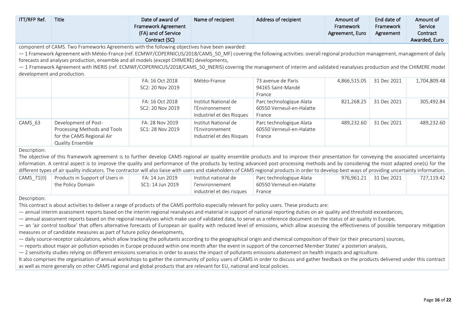| ITT/RFP Ref. | Title                                                                                                                                                                                                | Date of award of           | Name of recipient         | Address of recipient      | Amount of       | End date of | Amount of     |  |  |
|--------------|------------------------------------------------------------------------------------------------------------------------------------------------------------------------------------------------------|----------------------------|---------------------------|---------------------------|-----------------|-------------|---------------|--|--|
|              |                                                                                                                                                                                                      | <b>Framework Agreement</b> |                           |                           | Framework       | Framework   | Service       |  |  |
|              |                                                                                                                                                                                                      | (FA) and of Service        |                           |                           | Agreement, Euro | Agreement   | Contract      |  |  |
|              |                                                                                                                                                                                                      | Contract (SC)              |                           |                           |                 |             | Awarded, Euro |  |  |
|              | component of CAMS. Two Frameworks Agreements with the following objectives have been awarded:                                                                                                        |                            |                           |                           |                 |             |               |  |  |
|              | - 1 Framework Agreement with Météo-France (ref. ECMWF/COPERNICUS/2018/CAMS_50_MF) covering the following activities: overall regional production management, management of daily                     |                            |                           |                           |                 |             |               |  |  |
|              | forecasts and analyses production, ensemble and all models (except CHIMERE) developments,                                                                                                            |                            |                           |                           |                 |             |               |  |  |
|              | - 1 Framework Agreement with INERIS (ref. ECMWF/COPERNICUS/2018/CAMS_50_INERIS) covering the management of interim and validated reanalyses production and the CHIMERE model                         |                            |                           |                           |                 |             |               |  |  |
|              | development and production.                                                                                                                                                                          |                            |                           |                           |                 |             |               |  |  |
|              |                                                                                                                                                                                                      | FA: 16 Oct 2018            | Météo-France              | 73 avenue de Paris        | 4,866,515.05    | 31 Dec 2021 | 1,704,809.48  |  |  |
|              |                                                                                                                                                                                                      | SC2: 20 Nov 2019           |                           | 94165 Saint-Mandé         |                 |             |               |  |  |
|              |                                                                                                                                                                                                      |                            |                           | France                    |                 |             |               |  |  |
|              |                                                                                                                                                                                                      | FA: 16 Oct 2018            | Institut National de      | Parc technologique Alata  | 821,268.25      | 31 Dec 2021 | 305,492.84    |  |  |
|              |                                                                                                                                                                                                      | SC2: 20 Nov 2019           | l'Environnement           | 60550 Verneuil-en-Halatte |                 |             |               |  |  |
|              |                                                                                                                                                                                                      |                            | Industriel et des Risques | France                    |                 |             |               |  |  |
| CAMS_63      | Development of Post-                                                                                                                                                                                 | FA: 28 Nov 2019            | Institut National de      | Parc technologique Alata  | 489,232.60      | 31 Dec 2021 | 489,232.60    |  |  |
|              | Processing Methods and Tools                                                                                                                                                                         | SC1: 28 Nov 2019           | l'Environnement           | 60550 Verneuil-en-Halatte |                 |             |               |  |  |
|              | for the CAMS Regional Air                                                                                                                                                                            |                            | Industriel et des Risques | France                    |                 |             |               |  |  |
|              | <b>Quality Ensemble</b>                                                                                                                                                                              |                            |                           |                           |                 |             |               |  |  |
| Description: |                                                                                                                                                                                                      |                            |                           |                           |                 |             |               |  |  |
|              | The objective of this framework agreement is to further develop CAMS regional air quality ensemble products and to improve their presentation for conveying the associated uncertainty               |                            |                           |                           |                 |             |               |  |  |
|              | information. A central aspect is to improve the quality and performance of the products by testing advanced post-processing methods and by considering the most adapted one(s) for the               |                            |                           |                           |                 |             |               |  |  |
|              | different types of air quality indicators. The contractor will also liaise with users and stakeholders of CAMS regional products in order to develop best ways of providing uncertainty information. |                            |                           |                           |                 |             |               |  |  |
| CAMS_71(II)  | Products in Support of Users in                                                                                                                                                                      | FA: 14 Jun 2019            | Institut national de      | Parc technologique Alata  | 976,961.21      | 31 Dec 2021 | 727,119.42    |  |  |
|              | the Policy Domain                                                                                                                                                                                    | SC1: 14 Jun 2019           | <i>l'environnement</i>    | 60550 Verneuil-en-Halatte |                 |             |               |  |  |
|              |                                                                                                                                                                                                      |                            | industriel et des risques | France                    |                 |             |               |  |  |
| Description: |                                                                                                                                                                                                      |                            |                           |                           |                 |             |               |  |  |

This contract is about activities to deliver a range of products of the CAMS portfolio especially relevant for policy users. These products are:

— annual interim assessment reports based on the interim regional reanalyses and material in support of national reporting duties on air quality and threshold exceedances,

— annual assessment reports based on the regional reanalyses which make use of validated data, to serve as a reference document on the status of air quality in Europe,

- an 'air control toolbox' that offers alternative forecasts of European air quality with reduced level of emissions, which allow assessing the effectiveness of possible temporary mitigation measures or of candidate measures as part of future policy developments,

— daily source-receptor calculations, which allow tracking the pollutants according to the geographical origin and chemical composition of their (or their precursors) sources,

— reports about major air pollution episodes in Europe produced within one month after the event in support of the concerned Member States' a posteriori analysis,

— 2 sensitivity studies relying on different emissions scenarios in order to assess the impact of pollutants emissions abatement on health impacts and agriculture.

It also comprises the organisation of annual workshops to gather the community of policy users of CAMS in order to discuss and gather feedback on the products delivered under this contract as well as more generally on other CAMS regional and global products that are relevant for EU, national and local policies.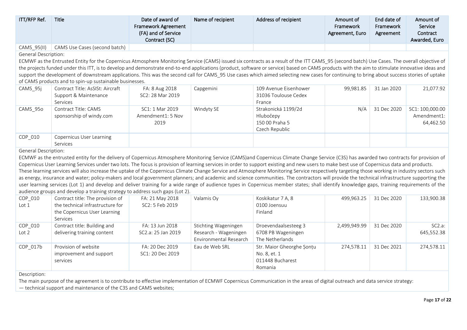| ITT/RFP Ref.                | <b>Title</b>                                                                                                                                                                                                                                                                                                                                                                                                                                                                                                                                                                                                                                                                                                                                                                                                                                                                                                                                                                                                                                                           | Date of award of<br>Framework Agreement<br>(FA) and of Service | Name of recipient                                                       | Address of recipient                                                 | Amount of<br>Framework<br>Agreement, Euro | End date of<br>Framework<br>Agreement | Amount of<br>Service<br>Contract            |
|-----------------------------|------------------------------------------------------------------------------------------------------------------------------------------------------------------------------------------------------------------------------------------------------------------------------------------------------------------------------------------------------------------------------------------------------------------------------------------------------------------------------------------------------------------------------------------------------------------------------------------------------------------------------------------------------------------------------------------------------------------------------------------------------------------------------------------------------------------------------------------------------------------------------------------------------------------------------------------------------------------------------------------------------------------------------------------------------------------------|----------------------------------------------------------------|-------------------------------------------------------------------------|----------------------------------------------------------------------|-------------------------------------------|---------------------------------------|---------------------------------------------|
|                             |                                                                                                                                                                                                                                                                                                                                                                                                                                                                                                                                                                                                                                                                                                                                                                                                                                                                                                                                                                                                                                                                        | Contract (SC)                                                  |                                                                         |                                                                      |                                           |                                       | Awarded, Euro                               |
| CAMS_95(II)                 | CAMS Use Cases (second batch)                                                                                                                                                                                                                                                                                                                                                                                                                                                                                                                                                                                                                                                                                                                                                                                                                                                                                                                                                                                                                                          |                                                                |                                                                         |                                                                      |                                           |                                       |                                             |
| <b>General Description:</b> | ECMWF as the Entrusted Entity for the Copernicus Atmosphere Monitoring Service (CAMS) issued six contracts as a result of the ITT CAMS_95 (second batch) Use Cases. The overall objective of<br>the projects funded under this ITT, is to develop and demonstrate end-to-end applications (product, software or service) based on CAMS products with the aim to stimulate innovative ideas and<br>support the development of downstream applications. This was the second call for CAMS 95 Use cases which aimed selecting new cases for continuing to bring about success stories of uptake<br>of CAMS products and to spin-up sustainable businesses.                                                                                                                                                                                                                                                                                                                                                                                                                |                                                                |                                                                         |                                                                      |                                           |                                       |                                             |
| CAMS_95j                    | Contract Title: AsSISt: Aircraft<br>Support & Maintenance<br>Services                                                                                                                                                                                                                                                                                                                                                                                                                                                                                                                                                                                                                                                                                                                                                                                                                                                                                                                                                                                                  | FA: 8 Aug 2018<br>SC2: 28 Mar 2019                             | Capgemini                                                               | 109 Avenue Eisenhower<br>31036 Toulouse Cedex<br>France              | 99,981.85                                 | 31 Jan 2020                           | 21,077.92                                   |
| CAMS_95o                    | Contract Title: CAMS<br>sponsorship of windy.com                                                                                                                                                                                                                                                                                                                                                                                                                                                                                                                                                                                                                                                                                                                                                                                                                                                                                                                                                                                                                       | SC1: 1 Mar 2019<br>Amendment1: 5 Nov<br>2019                   | Windyty SE                                                              | Strakonická 1199/2d<br>Hlubočepy<br>150 00 Praha 5<br>Czech Republic | N/A                                       | 31 Dec 2020                           | SC1: 100,000.00<br>Amendment1:<br>64,462.50 |
| COP_010                     | Copernicus User Learning<br>Services                                                                                                                                                                                                                                                                                                                                                                                                                                                                                                                                                                                                                                                                                                                                                                                                                                                                                                                                                                                                                                   |                                                                |                                                                         |                                                                      |                                           |                                       |                                             |
| <b>General Description:</b> | ECMWF as the entrusted entity for the delivery of Copernicus Atmosphere Monitoring Service (CAMS)and Copernicus Climate Change Service (C3S) has awarded two contracts for provision of<br>Copernicus User Learning Services under two lots. The focus is provision of learning services in order to support existing and new users to make best use of Copernicus data and products.<br>These learning services will also increase the uptake of the Copernicus Climate Change Service and Atmosphere Monitoring Service respectively targeting those working in industry sectors such<br>as energy, insurance and water; policy-makers and local government planners; and academic and science communities. The contractors will provide the technical infrastructure supporting the<br>user learning services (Lot 1) and develop and deliver training for a wide range of audience types in Copernicus member states; shall identify knowledge gaps, training requirements of the<br>audience groups and develop a training strategy to address such gaps (Lot 2). |                                                                |                                                                         |                                                                      |                                           |                                       |                                             |
| COP_010<br>Lot 1            | Contract title: The provision of<br>the technical infrastructure for<br>the Copernicus User Learning<br>Services                                                                                                                                                                                                                                                                                                                                                                                                                                                                                                                                                                                                                                                                                                                                                                                                                                                                                                                                                       | FA: 21 May 2018<br>SC2: 5 Feb 2019                             | Valamis Oy                                                              | Koskikatur 7 A, 8<br>0100 Joensuu<br>Finland                         | 499,963.25                                | 31 Dec 2020                           | 133,900.38                                  |
| COP_010<br>Lot 2            | Contract title: Building and<br>delivering training content                                                                                                                                                                                                                                                                                                                                                                                                                                                                                                                                                                                                                                                                                                                                                                                                                                                                                                                                                                                                            | FA: 13 Jun 2018<br>SC2.a: 25 Jan 2019                          | Stichting Wageningen<br>Research - Wageningen<br>Environmental Research | Droevendaalsesteeg 3<br>6708 PB Wageningen<br>The Netherlands        | 2,499,949.99                              | 31 Dec 2020                           | SC2.a:<br>645,552.38                        |
| COP_017b                    | Provision of website<br>improvement and support<br>services                                                                                                                                                                                                                                                                                                                                                                                                                                                                                                                                                                                                                                                                                                                                                                                                                                                                                                                                                                                                            | FA: 20 Dec 2019<br>SC1: 20 Dec 2019                            | Eau de Web SRL                                                          | Str. Maior Gheorghe Sonțu<br>No. 8, et. 1<br>011448 Bucharest        | 274,578.11                                | 31 Dec 2021                           | 274,578.11                                  |

The main purpose of the agreement is to contribute to effective implementation of ECMWF Copernicus Communication in the areas of digital outreach and data service strategy:

Romania

— technical support and maintenance of the C3S and CAMS websites;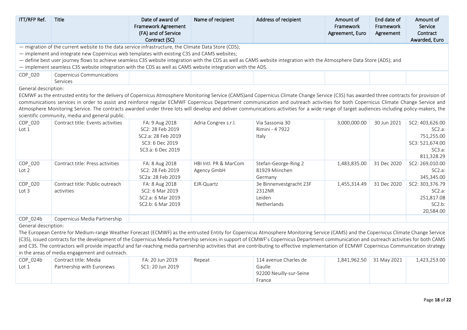| ITT/RFP Ref.                                                                                                                                                            | <b>Title</b>                                                                                                                                                                               | Date of award of<br><b>Framework Agreement</b><br>(FA) and of Service<br>Contract (SC) | Name of recipient     | Address of recipient               | Amount of<br>Framework<br>Agreement, Euro | End date of<br>Framework<br>Agreement | Amount of<br>Service<br>Contract<br>Awarded, Euro |  |  |  |
|-------------------------------------------------------------------------------------------------------------------------------------------------------------------------|--------------------------------------------------------------------------------------------------------------------------------------------------------------------------------------------|----------------------------------------------------------------------------------------|-----------------------|------------------------------------|-------------------------------------------|---------------------------------------|---------------------------------------------------|--|--|--|
|                                                                                                                                                                         | - migration of the current website to the data service infrastructure, the Climate Data Store (CDS);                                                                                       |                                                                                        |                       |                                    |                                           |                                       |                                                   |  |  |  |
|                                                                                                                                                                         | - implement and integrate new Copernicus web templates with existing C3S and CAMS websites;                                                                                                |                                                                                        |                       |                                    |                                           |                                       |                                                   |  |  |  |
| - define best user journey flows to achieve seamless C3S website integration with the CDS as well as CAMS website integration with the Atmosphere Data Store (ADS); and |                                                                                                                                                                                            |                                                                                        |                       |                                    |                                           |                                       |                                                   |  |  |  |
|                                                                                                                                                                         | - implement seamless C3S website integration with the CDS as well as CAMS website integration with the ADS.                                                                                |                                                                                        |                       |                                    |                                           |                                       |                                                   |  |  |  |
| COP_020                                                                                                                                                                 | <b>Copernicus Communications</b><br>Services                                                                                                                                               |                                                                                        |                       |                                    |                                           |                                       |                                                   |  |  |  |
| General description:                                                                                                                                                    |                                                                                                                                                                                            |                                                                                        |                       |                                    |                                           |                                       |                                                   |  |  |  |
|                                                                                                                                                                         | ECMWF as the entrusted entity for the delivery of Copernicus Atmosphere Monitoring Service (CAMS)and Copernicus Climate Change Service (C3S) has awarded three contracts for provision of  |                                                                                        |                       |                                    |                                           |                                       |                                                   |  |  |  |
|                                                                                                                                                                         | communications services in order to assist and reinforce regular ECMWF Copernicus Department communication and outreach activities for both Copernicus Climate Change Service and          |                                                                                        |                       |                                    |                                           |                                       |                                                   |  |  |  |
|                                                                                                                                                                         | Atmosphere Monitoring Service. The contracts awarded under three lots will develop and deliver communications activities for a wide range of target audiences including policy-makers, the |                                                                                        |                       |                                    |                                           |                                       |                                                   |  |  |  |
|                                                                                                                                                                         | scientific community, media and general public.                                                                                                                                            |                                                                                        |                       |                                    |                                           |                                       |                                                   |  |  |  |
| COP_020                                                                                                                                                                 | Contract title: Events activities                                                                                                                                                          | FA: 9 Aug 2018<br>SC2: 28 Feb 2019                                                     | Adria Congrex s.r.l.  | Via Sassonia 30<br>Rimini - 4 7922 | 3,000,000.00                              | 30 Jun 2021                           | SC2: 403,626.00                                   |  |  |  |
| Lot 1                                                                                                                                                                   |                                                                                                                                                                                            | SC2.a: 28 Feb 2019                                                                     |                       | Italy                              |                                           |                                       | SC2.a:<br>751,255.00                              |  |  |  |
|                                                                                                                                                                         |                                                                                                                                                                                            | SC3: 6 Dec 2019                                                                        |                       |                                    |                                           |                                       | SC3: 521,674.00                                   |  |  |  |
|                                                                                                                                                                         |                                                                                                                                                                                            | SC3.a: 6 Dec 2019                                                                      |                       |                                    |                                           |                                       | SC3.a:                                            |  |  |  |
|                                                                                                                                                                         |                                                                                                                                                                                            |                                                                                        |                       |                                    |                                           |                                       | 811,328.29                                        |  |  |  |
| COP_020                                                                                                                                                                 | Contract title: Press activities                                                                                                                                                           | FA: 8 Aug 2018                                                                         | HBI Intl. PR & MarCom | Stefan-George-Ring 2               | 1,483,835.00                              | 31 Dec 2020                           | SC2: 269,010.00                                   |  |  |  |
| Lot 2                                                                                                                                                                   |                                                                                                                                                                                            | SC2: 28 Feb 2019                                                                       | Agency GmbH           | 81929 Miinchen                     |                                           |                                       | $SC2.a$ :                                         |  |  |  |
|                                                                                                                                                                         |                                                                                                                                                                                            | SC2a: 28 Feb 2019                                                                      |                       | Germany                            |                                           |                                       | 345,345.00                                        |  |  |  |
| COP_020                                                                                                                                                                 | Contract title: Public outreach                                                                                                                                                            | FA: 8 Aug 2018                                                                         | EJR-Quartz            | 3e Binnenvestgracht 23F            | 1,455,314.49                              | 31 Dec 2020                           | SC2: 303,376.79                                   |  |  |  |
| Lot 3                                                                                                                                                                   | activities                                                                                                                                                                                 | SC2: 6 Mar 2019                                                                        |                       | 2312NR                             |                                           |                                       | SC2.a:                                            |  |  |  |
|                                                                                                                                                                         |                                                                                                                                                                                            | SC2.a: 6 Mar 2019                                                                      |                       | Leiden                             |                                           |                                       | 251,817.08                                        |  |  |  |
|                                                                                                                                                                         |                                                                                                                                                                                            | SC2.b: 6 Mar 2019                                                                      |                       | Netherlands                        |                                           |                                       | SC2.b:                                            |  |  |  |
|                                                                                                                                                                         |                                                                                                                                                                                            |                                                                                        |                       |                                    |                                           |                                       | 20,584.00                                         |  |  |  |
| COP_024b                                                                                                                                                                | Copernicus Media Partnership                                                                                                                                                               |                                                                                        |                       |                                    |                                           |                                       |                                                   |  |  |  |
| General description:                                                                                                                                                    |                                                                                                                                                                                            |                                                                                        |                       |                                    |                                           |                                       |                                                   |  |  |  |
|                                                                                                                                                                         | The European Centre for Medium-range Weather Forecast (ECMWF) as the entrusted Entity for Copernicus Atmosphere Monitoring Service (CAMS) and the Copernicus Climate Change Service        |                                                                                        |                       |                                    |                                           |                                       |                                                   |  |  |  |
|                                                                                                                                                                         | (C3S), issued contracts for the development of the Copernicus Media Partnership services in support of ECMWF's Copernicus Department communication and outreach activities for both CAMS   |                                                                                        |                       |                                    |                                           |                                       |                                                   |  |  |  |
|                                                                                                                                                                         | and C3S. The contractors will provide impactful and far-reaching media partnership activities that are contributing to effective implementation of ECMWF Copernicus Communication strategy |                                                                                        |                       |                                    |                                           |                                       |                                                   |  |  |  |
|                                                                                                                                                                         | in the areas of media engagement and outreach.                                                                                                                                             |                                                                                        |                       |                                    |                                           |                                       |                                                   |  |  |  |
| COP_024b                                                                                                                                                                | Contract title: Media                                                                                                                                                                      | FA: 20 Jun 2019                                                                        | Repeat                | 114 avenue Charles de              | 1,841,962.50                              | 31 May 2021                           | 1,423,253.00                                      |  |  |  |
| Lot 1                                                                                                                                                                   | Partnership with Euronews                                                                                                                                                                  | SC1: 20 Jun 2019                                                                       |                       | Gaulle                             |                                           |                                       |                                                   |  |  |  |
|                                                                                                                                                                         |                                                                                                                                                                                            |                                                                                        |                       | 92200 Neuilly-sur-Seine            |                                           |                                       |                                                   |  |  |  |
|                                                                                                                                                                         |                                                                                                                                                                                            |                                                                                        |                       | France                             |                                           |                                       |                                                   |  |  |  |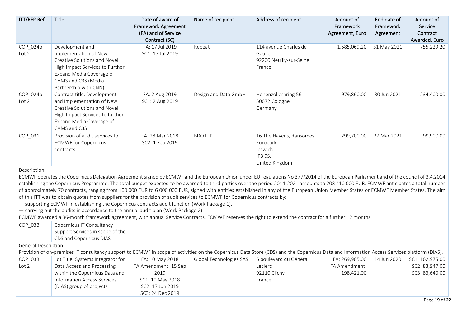| ITT/RFP Ref.                 | Title                                                                                                                                                                                   | Date of award of<br><b>Framework Agreement</b><br>(FA) and of Service<br>Contract (SC) | Name of recipient    | Address of recipient                                                        | Amount of<br>Framework<br>Agreement, Euro | End date of<br>Framework<br>Agreement | Amount of<br>Service<br>Contract<br>Awarded, Euro |
|------------------------------|-----------------------------------------------------------------------------------------------------------------------------------------------------------------------------------------|----------------------------------------------------------------------------------------|----------------------|-----------------------------------------------------------------------------|-------------------------------------------|---------------------------------------|---------------------------------------------------|
| COP_024b<br>Lot <sub>2</sub> | Development and<br>Implementation of New<br>Creative Solutions and Novel<br>High Impact Services to Further<br>Expand Media Coverage of<br>CAMS and C3S (Media<br>Partnership with CNN) | FA: 17 Jul 2019<br>SC1: 17 Jul 2019                                                    | Repeat               | 114 avenue Charles de<br>Gaulle<br>92200 Neuilly-sur-Seine<br>France        | 1,585,069.20                              | 31 May 2021                           | 755,229.20                                        |
| COP_024b<br>Lot <sub>2</sub> | Contract title: Development<br>and Implementation of New<br>Creative Solutions and Novel<br>High Impact Services to further<br>Expand Media Coverage of<br>CAMS and C3S                 | FA: 2 Aug 2019<br>SC1: 2 Aug 2019                                                      | Design and Data GmbH | Hohenzollernring 56<br>50672 Cologne<br>Germany                             | 979,860.00                                | 30 Jun 2021                           | 234,400.00                                        |
| COP_031                      | Provision of audit services to<br><b>ECMWF</b> for Copernicus<br>contracts                                                                                                              | FA: 28 Mar 2018<br>SC2: 1 Feb 2019                                                     | <b>BDO LLP</b>       | 16 The Havens, Ransomes<br>Europark<br>Ipswich<br>IP3 9SJ<br>United Kingdom | 299,700.00                                | 27 Mar 2021                           | 99,900.00                                         |

ECMWF operates the Copernicus Delegation Agreement signed by ECMWF and the European Union under EU regulations No 377/2014 of the European Parliament and of the council of 3.4.2014 establishing the Copernicus Programme. The total budget expected to be awarded to third parties over the period 2014-2021 amounts to 208 410 000 EUR. ECMWF anticipates a total number of approximately 70 contracts, ranging from 100 000 EUR to 6 000 000 EUR, signed with entities established in any of the European Union Member States or ECMWF Member States. The aim of this ITT was to obtain quotes from suppliers for the provision of audit services to ECMWF for Copernicus contracts by:

— supporting ECMWF in establishing the Copernicus contracts audit function (Work Package 1),

— carrying out the audits in accordance to the annual audit plan (Work Package 2).

ECMWF awarded a 36-month framework agreement, with annual Service Contracts. ECMWF reserves the right to extend the contract for a further 12 months.

| COP 033                                   | Copernicus IT Consultancy        |  |  |  |
|-------------------------------------------|----------------------------------|--|--|--|
|                                           | Support Services in scope of the |  |  |  |
|                                           | CDS and Copernicus DIAS          |  |  |  |
| $\sim$ $\sim$ $\sim$ $\sim$ $\sim$ $\sim$ |                                  |  |  |  |

General Description:

Provision of on-premises IT consultancy support to ECMWF in scope of activities on the Copernicus Data Store (CDS) and the Copernicus Data and Information Access Services platform (DIAS).

| COP_033 | Lot Title: Systems Integrator for | FA: 10 May 2018      | Global Technologies SAS | 6 boulevard du Général | FA: 269,985.00 | 14 Jun 2020 | SC1: 162.975.00 |
|---------|-----------------------------------|----------------------|-------------------------|------------------------|----------------|-------------|-----------------|
| Lot 2   | Data Access and Processing        | FA Amendment: 15 Sep |                         | Leclerc                | FA Amendment:  |             | SC2: 83,947.00  |
|         | within the Copernicus Data and    | 2019                 |                         | 92110 Clichy           | 198,421.00     |             | SC3: 83,640.00  |
|         | Information Access Services       | SC1: 10 May 2018     |                         | France                 |                |             |                 |
|         | (DIAS) group of projects          | SC2: 17 Jun 2019     |                         |                        |                |             |                 |
|         |                                   | SC3: 24 Dec 2019     |                         |                        |                |             |                 |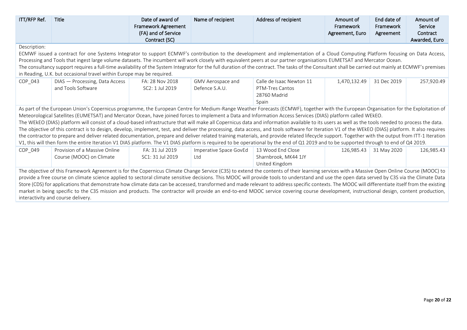| ITT/RFP Ref.                                                                                                                                                                                                                                                                                                                                                                                                                                                                                                                                                                                                                                                                                                                                                                                                                     | <b>Title</b>                                                                                                                                                                                                                                                                                                                                                                                                                                                                                                                                                                                                                                                                                                                                                                                                                                                                                                                                                                                                                                                                                                                                                     | Date of award of<br><b>Framework Agreement</b><br>(FA) and of Service<br>Contract (SC) | Name of recipient                   | Address of recipient                                                 | Amount of<br>Framework<br>Agreement, Euro | End date of<br>Framework<br>Agreement | Amount of<br>Service<br>Contract<br>Awarded, Euro |  |  |
|----------------------------------------------------------------------------------------------------------------------------------------------------------------------------------------------------------------------------------------------------------------------------------------------------------------------------------------------------------------------------------------------------------------------------------------------------------------------------------------------------------------------------------------------------------------------------------------------------------------------------------------------------------------------------------------------------------------------------------------------------------------------------------------------------------------------------------|------------------------------------------------------------------------------------------------------------------------------------------------------------------------------------------------------------------------------------------------------------------------------------------------------------------------------------------------------------------------------------------------------------------------------------------------------------------------------------------------------------------------------------------------------------------------------------------------------------------------------------------------------------------------------------------------------------------------------------------------------------------------------------------------------------------------------------------------------------------------------------------------------------------------------------------------------------------------------------------------------------------------------------------------------------------------------------------------------------------------------------------------------------------|----------------------------------------------------------------------------------------|-------------------------------------|----------------------------------------------------------------------|-------------------------------------------|---------------------------------------|---------------------------------------------------|--|--|
| Description:<br>ECMWF issued a contract for one Systems Integrator to support ECMWF's contribution to the development and implementation of a Cloud Computing Platform focusing on Data Access,<br>Processing and Tools that ingest large volume datasets. The incumbent will work closely with equivalent peers at our partner organisations EUMETSAT and Mercator Ocean.<br>The consultancy support requires a full-time availability of the System Integrator for the full duration of the contract. The tasks of the Consultant shall be carried out mainly at ECMWF's premises<br>in Reading, U.K. but occasional travel within Europe may be required.                                                                                                                                                                     |                                                                                                                                                                                                                                                                                                                                                                                                                                                                                                                                                                                                                                                                                                                                                                                                                                                                                                                                                                                                                                                                                                                                                                  |                                                                                        |                                     |                                                                      |                                           |                                       |                                                   |  |  |
| COP_043                                                                                                                                                                                                                                                                                                                                                                                                                                                                                                                                                                                                                                                                                                                                                                                                                          | DIAS - Processing, Data Access<br>and Tools Software                                                                                                                                                                                                                                                                                                                                                                                                                                                                                                                                                                                                                                                                                                                                                                                                                                                                                                                                                                                                                                                                                                             | FA: 28 Nov 2018<br>SC2: 1 Jul 2019                                                     | GMV Aerospace and<br>Defence S.A.U. | Calle de Isaac Newton 11<br>PTM-Tres Cantos<br>28760 Madrid<br>Spain | 1,470,132.49                              | 31 Dec 2019                           | 257,920.49                                        |  |  |
|                                                                                                                                                                                                                                                                                                                                                                                                                                                                                                                                                                                                                                                                                                                                                                                                                                  | As part of the European Union's Copernicus programme, the European Centre for Medium-Range Weather Forecasts (ECMWF), together with the European Organisation for the Exploitation of<br>Meteorological Satellites (EUMETSAT) and Mercator Ocean, have joined forces to implement a Data and Information Access Services (DIAS) platform called WEkEO.<br>The WEkEO (DIAS) platform will consist of a cloud-based infrastructure that will make all Copernicus data and information available to its users as well as the tools needed to process the data.<br>The objective of this contract is to design, develop, implement, test, and deliver the processing, data access, and tools software for Iteration V1 of the WEkEO (DIAS) platform. It also requires<br>the contractor to prepare and deliver related documentation, prepare and deliver related training materials, and provide related lifecycle support. Together with the output from ITT-1 Iteration<br>V1, this will then form the entire Iteration V1 DIAS platform. The V1 DIAS platform is required to be operational by the end of Q1 2019 and to be supported through to end of Q4 2019. |                                                                                        |                                     |                                                                      |                                           |                                       |                                                   |  |  |
| COP_049                                                                                                                                                                                                                                                                                                                                                                                                                                                                                                                                                                                                                                                                                                                                                                                                                          | Provision of a Massive Online<br>Course (MOOC) on Climate                                                                                                                                                                                                                                                                                                                                                                                                                                                                                                                                                                                                                                                                                                                                                                                                                                                                                                                                                                                                                                                                                                        | FA: 31 Jul 2019<br>SC1: 31 Jul 2019                                                    | Imperative Space GovEd<br>Ltd       | 13 Wood End Close<br>Sharnbrook, MK44 1JY<br>United Kingdom          | 126,985.43                                | 31 May 2020                           | 126,985.43                                        |  |  |
| The objective of this Framework Agreement is for the Copernicus Climate Change Service (C3S) to extend the contents of their learning services with a Massive Open Online Course (MOOC) to<br>provide a free course on climate science applied to sectoral climate sensitive decisions. This MOOC will provide tools to understand and use the open data served by C3S via the Climate Data<br>Store (CDS) for applications that demonstrate how climate data can be accessed, transformed and made relevant to address specific contexts. The MOOC will differentiate itself from the existing<br>market in being specific to the C3S mission and products. The contractor will provide an end-to-end MOOC service covering course development, instructional design, content production,<br>interactivity and course delivery. |                                                                                                                                                                                                                                                                                                                                                                                                                                                                                                                                                                                                                                                                                                                                                                                                                                                                                                                                                                                                                                                                                                                                                                  |                                                                                        |                                     |                                                                      |                                           |                                       |                                                   |  |  |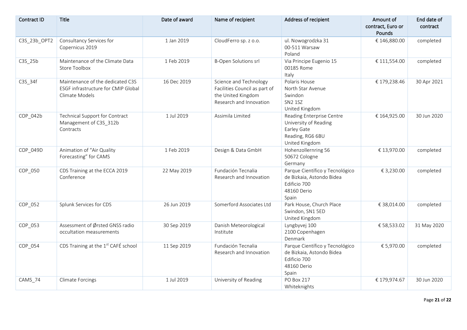| <b>Contract ID</b> | Title                                                                                     | Date of award | Name of recipient                                                                                        | Address of recipient                                                                                    | Amount of<br>contract, Euro or<br>Pounds | End date of<br>contract |
|--------------------|-------------------------------------------------------------------------------------------|---------------|----------------------------------------------------------------------------------------------------------|---------------------------------------------------------------------------------------------------------|------------------------------------------|-------------------------|
| C3S_23b_OPT2       | Consultancy Services for<br>Copernicus 2019                                               | 1 Jan 2019    | CloudFerro sp. z o.o.                                                                                    | ul. Nowogrodzka 31<br>00-511 Warsaw<br>Poland                                                           | € 146,880.00                             | completed               |
| C3S_25b            | Maintenance of the Climate Data<br>Store Toolbox                                          | 1 Feb 2019    | <b>B-Open Solutions srl</b>                                                                              | Via Principe Eugenio 15<br>00185 Rome<br>Italy                                                          | € 111,554.00                             | completed               |
| C3S_34f            | Maintenance of the dedicated C3S<br>ESGF infrastructure for CMIP Global<br>Climate Models | 16 Dec 2019   | Science and Technology<br>Facilities Council as part of<br>the United Kingdom<br>Research and Innovation | Polaris House<br>North Star Avenue<br>Swindon<br><b>SN2 1SZ</b><br>United Kingdom                       | € 179,238.46                             | 30 Apr 2021             |
| COP_042b           | Technical Support for Contract<br>Management of C3S_312b<br>Contracts                     | 1 Jul 2019    | Assimila Limited                                                                                         | Reading Enterprise Centre<br>University of Reading<br>Earley Gate<br>Reading, RG6 6BU<br>United Kingdom | € 164,925.00                             | 30 Jun 2020             |
| COP_049D           | Animation of "Air Quality<br>Forecasting" for CAMS                                        | 1 Feb 2019    | Design & Data GmbH                                                                                       | Hohenzollernring 56<br>50672 Cologne<br>Germany                                                         | € 13,970.00                              | completed               |
| COP_050            | CDS Training at the ECCA 2019<br>Conference                                               | 22 May 2019   | Fundación Tecnalia<br>Research and Innovation                                                            | Parque Científico y Tecnológico<br>de Bizkaia, Astondo Bidea<br>Edificio 700<br>48160 Derio<br>Spain    | € 3,230.00                               | completed               |
| COP_052            | Splunk Services for CDS                                                                   | 26 Jun 2019   | Somerford Associates Ltd                                                                                 | Park House, Church Place<br>Swindon, SN1 5ED<br>United Kingdom                                          | € 38,014.00                              | completed               |
| COP_053            | Assessment of Ørsted GNSS radio<br>occultation measurements                               | 30 Sep 2019   | Danish Meteorological<br>Institute                                                                       | Lyngbyvej 100<br>2100 Copenhagen<br>Denmark                                                             | € 58,533.02                              | 31 May 2020             |
| COP_054            | CDS Training at the 1st CAFÉ school                                                       | 11 Sep 2019   | Fundación Tecnalia<br>Research and Innovation                                                            | Parque Científico y Tecnológico<br>de Bizkaia, Astondo Bidea<br>Edificio 700<br>48160 Derio<br>Spain    | € 5,970.00                               | completed               |
| CAMS_74            | <b>Climate Forcings</b>                                                                   | 1 Jul 2019    | University of Reading                                                                                    | <b>PO Box 217</b><br>Whiteknights                                                                       | € 179,974.67                             | 30 Jun 2020             |